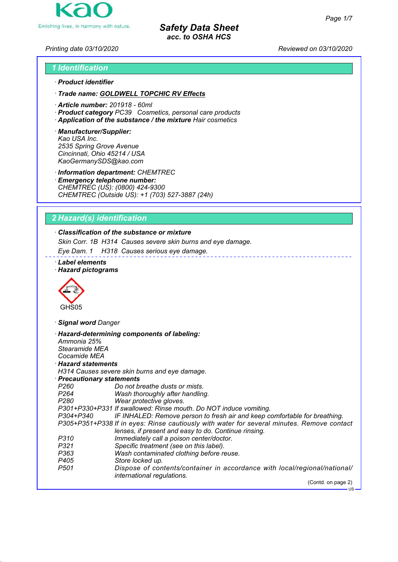

*Printing date 03/10/2020 Reviewed on 03/10/2020*

# *1 Identification · Product identifier*

*· Trade name: GOLDWELL TOPCHIC RV Effects*

- *· Article number: 201918 60ml*
- *· Product category PC39 Cosmetics, personal care products*
- *· Application of the substance / the mixture Hair cosmetics*
- *· Manufacturer/Supplier: Kao USA Inc. 2535 Spring Grove Avenue Cincinnati, Ohio 45214 / USA KaoGermanySDS@kao.com*

*· Information department: CHEMTREC*

*· Emergency telephone number: CHEMTREC (US): (0800) 424-9300 CHEMTREC (Outside US): +1 (703) 527-3887 (24h)*

# *2 Hazard(s) identification*

# *· Classification of the substance or mixture*

*Skin Corr. 1B H314 Causes severe skin burns and eye damage.*

*Eye Dam. 1 H318 Causes serious eye damage.*

- *· Label elements*
- *· Hazard pictograms*



*· Signal word Danger*

| Ammonia 25%                | · Hazard-determining components of labeling:                                                            |
|----------------------------|---------------------------------------------------------------------------------------------------------|
| Stearamide MEA             |                                                                                                         |
| Cocamide MEA               |                                                                                                         |
| $\cdot$ Hazard statements  |                                                                                                         |
|                            | H314 Causes severe skin burns and eye damage.                                                           |
| · Precautionary statements |                                                                                                         |
| P260                       | Do not breathe dusts or mists.                                                                          |
| P264 P                     | Wash thoroughly after handling.                                                                         |
| P280                       | Wear protective gloves.                                                                                 |
|                            | P301+P330+P331 If swallowed: Rinse mouth. Do NOT induce vomiting.                                       |
| P304+P340                  | IF INHALED: Remove person to fresh air and keep comfortable for breathing.                              |
|                            | P305+P351+P338 If in eyes: Rinse cautiously with water for several minutes. Remove contact              |
|                            | lenses, if present and easy to do. Continue rinsing.                                                    |
| P310                       | Immediately call a poison center/doctor.                                                                |
| P321                       | Specific treatment (see on this label).                                                                 |
| P363                       | Wash contaminated clothing before reuse.                                                                |
| P405                       | Store locked up.                                                                                        |
| P501                       | Dispose of contents/container in accordance with local/regional/national/<br>international regulations. |
|                            | (Contd. on page 2)                                                                                      |
|                            | $-$ US                                                                                                  |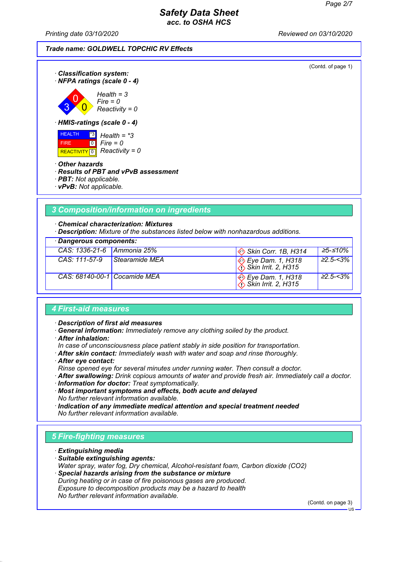*Printing date 03/10/2020 Reviewed on 03/10/2020*

| Trade name: GOLDWELL TOPCHIC RV Effects |
|-----------------------------------------|
|-----------------------------------------|

(Contd. of page 1) *· Classification system: · NFPA ratings (scale 0 - 4)* 3 0  $\overline{\mathbf{0}}$ *Health = 3 Fire = 0 Reactivity = 0 · HMIS-ratings (scale 0 - 4)* HEALTH FIRE REACTIVITY 0 *Reactivity = 0* \*3  $\overline{10}$ *Health = \*3 Fire = 0 · Other hazards · Results of PBT and vPvB assessment · PBT: Not applicable. · vPvB: Not applicable.*

# *3 Composition/information on ingredients*

*· Chemical characterization: Mixtures*

*· Description: Mixture of the substances listed below with nonhazardous additions.*

| · Dangerous components:      |                |                                          |                  |
|------------------------------|----------------|------------------------------------------|------------------|
| CAS: 1336-21-6   Ammonia 25% |                | $\otimes$ Skin Corr. 1B, H314            | 25-≤10%          |
| CAS: 111-57-9                | Stearamide MEA | Sye Dam. 1, H318<br>∴Skin Irrit. 2, H315 | $22.5 - 3%$      |
| CAS: 68140-00-1 Cocamide MEA |                | Sye Dam. 1, H318<br>∴Skin Irrit. 2, H315 | $\geq 2.5 - 3\%$ |

#### *4 First-aid measures*

*· Description of first aid measures*

- *· General information: Immediately remove any clothing soiled by the product.*
- *· After inhalation:*
- *In case of unconsciousness place patient stably in side position for transportation.*
- *· After skin contact: Immediately wash with water and soap and rinse thoroughly.*
- *· After eye contact:*

*Rinse opened eye for several minutes under running water. Then consult a doctor.*

*· After swallowing: Drink copious amounts of water and provide fresh air. Immediately call a doctor.*

*· Information for doctor: Treat symptomatically.*

*· Most important symptoms and effects, both acute and delayed No further relevant information available.*

*· Indication of any immediate medical attention and special treatment needed No further relevant information available.*

### *5 Fire-fighting measures*

- *· Extinguishing media*
- *· Suitable extinguishing agents: Water spray, water fog, Dry chemical, Alcohol-resistant foam, Carbon dioxide (CO2)*
- *· Special hazards arising from the substance or mixture During heating or in case of fire poisonous gases are produced. Exposure to decomposition products may be a hazard to health*

*No further relevant information available.*

(Contd. on page 3)

 $H<sub>S</sub>$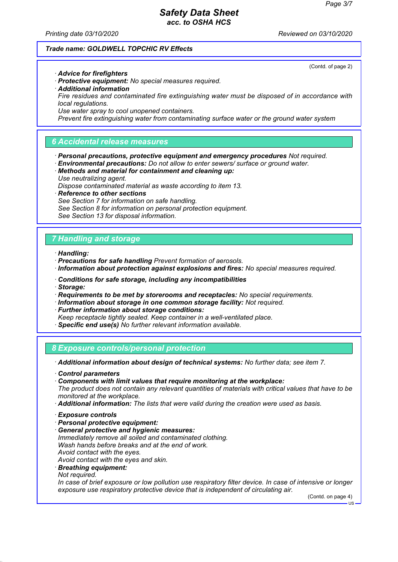(Contd. of page 2)

### *Safety Data Sheet acc. to OSHA HCS*

*Printing date 03/10/2020 Reviewed on 03/10/2020*

#### *Trade name: GOLDWELL TOPCHIC RV Effects*

*· Advice for firefighters*

- *· Protective equipment: No special measures required.*
- *· Additional information*
- *Fire residues and contaminated fire extinguishing water must be disposed of in accordance with local regulations.*
- *Use water spray to cool unopened containers.*

*Prevent fire extinguishing water from contaminating surface water or the ground water system*

### *6 Accidental release measures*

- *· Personal precautions, protective equipment and emergency procedures Not required.*
- *· Environmental precautions: Do not allow to enter sewers/ surface or ground water.*
- *· Methods and material for containment and cleaning up: Use neutralizing agent.*
- *Dispose contaminated material as waste according to item 13.*
- *· Reference to other sections*
- *See Section 7 for information on safe handling.*
- *See Section 8 for information on personal protection equipment.*
- *See Section 13 for disposal information.*

#### *7 Handling and storage*

*· Handling:*

- *· Precautions for safe handling Prevent formation of aerosols.*
- *· Information about protection against explosions and fires: No special measures required.*
- *· Conditions for safe storage, including any incompatibilities*
- *· Storage:*
- *· Requirements to be met by storerooms and receptacles: No special requirements.*
- *· Information about storage in one common storage facility: Not required.*
- *· Further information about storage conditions:*
- *Keep receptacle tightly sealed. Keep container in a well-ventilated place.*
- *· Specific end use(s) No further relevant information available.*

*8 Exposure controls/personal protection*

*· Additional information about design of technical systems: No further data; see item 7.*

- *· Control parameters*
- *· Components with limit values that require monitoring at the workplace:*

*The product does not contain any relevant quantities of materials with critical values that have to be monitored at the workplace.*

- *· Additional information: The lists that were valid during the creation were used as basis.*
- *· Exposure controls*
- *· Personal protective equipment:*
- *· General protective and hygienic measures: Immediately remove all soiled and contaminated clothing. Wash hands before breaks and at the end of work. Avoid contact with the eyes. Avoid contact with the eyes and skin.*
- 
- *· Breathing equipment:*
- *Not required.*

*In case of brief exposure or low pollution use respiratory filter device. In case of intensive or longer exposure use respiratory protective device that is independent of circulating air.*

(Contd. on page 4)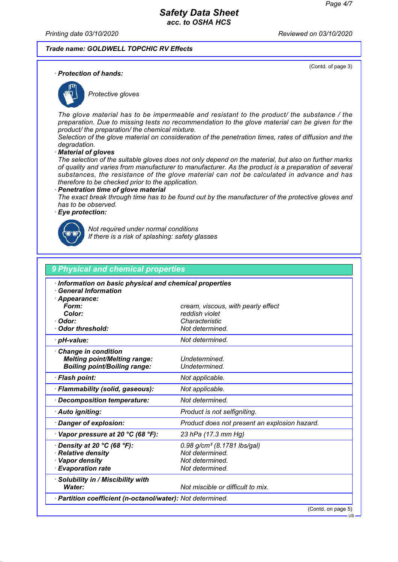(Contd. of page 3)

#### *Safety Data Sheet acc. to OSHA HCS*

*Printing date 03/10/2020 Reviewed on 03/10/2020*

#### *Trade name: GOLDWELL TOPCHIC RV Effects*

*· Protection of hands:*



*Protective gloves*

*The glove material has to be impermeable and resistant to the product/ the substance / the preparation. Due to missing tests no recommendation to the glove material can be given for the product/ the preparation/ the chemical mixture.*

*Selection of the glove material on consideration of the penetration times, rates of diffusion and the degradation.*

*· Material of gloves*

*The selection of the suitable gloves does not only depend on the material, but also on further marks of quality and varies from manufacturer to manufacturer. As the product is a preparation of several substances, the resistance of the glove material can not be calculated in advance and has therefore to be checked prior to the application.*

#### *· Penetration time of glove material*

*The exact break through time has to be found out by the manufacturer of the protective gloves and has to be observed.*

#### *· Eye protection:*



*Not required under normal conditions If there is a risk of splashing: safety glasses*

| Information on basic physical and chemical properties<br><b>General Information</b> |                                               |
|-------------------------------------------------------------------------------------|-----------------------------------------------|
| Appearance:                                                                         |                                               |
| Form:                                                                               | cream, viscous, with pearly effect            |
| Color:                                                                              | reddish violet                                |
| · Odor:                                                                             | Characteristic                                |
| <b>Odor threshold:</b>                                                              | Not determined.                               |
| · pH-value:                                                                         | Not determined.                               |
| <b>Change in condition</b>                                                          |                                               |
| <b>Melting point/Melting range:</b>                                                 | Undetermined.                                 |
| <b>Boiling point/Boiling range:</b>                                                 | Undetermined.                                 |
| · Flash point:                                                                      | Not applicable.                               |
| · Flammability (solid, gaseous):                                                    | Not applicable.                               |
| Decomposition temperature:                                                          | Not determined.                               |
| · Auto igniting:                                                                    | Product is not selfigniting.                  |
| Danger of explosion:                                                                | Product does not present an explosion hazard. |
| $\cdot$ Vapor pressure at 20 °C (68 °F):                                            | 23 hPa (17.3 mm Hg)                           |
| $\cdot$ Density at 20 °C (68 °F):                                                   | 0.98 g/cm <sup>3</sup> (8.1781 lbs/gal)       |
| <b>Relative density</b>                                                             | Not determined.                               |
| · Vapor density                                                                     | Not determined.                               |
| <b>Evaporation rate</b>                                                             | Not determined.                               |
| Solubility in / Miscibility with                                                    |                                               |
| Water:                                                                              | Not miscible or difficult to mix.             |

(Contd. on page 5)

 $\overline{\mathsf{u}}$ s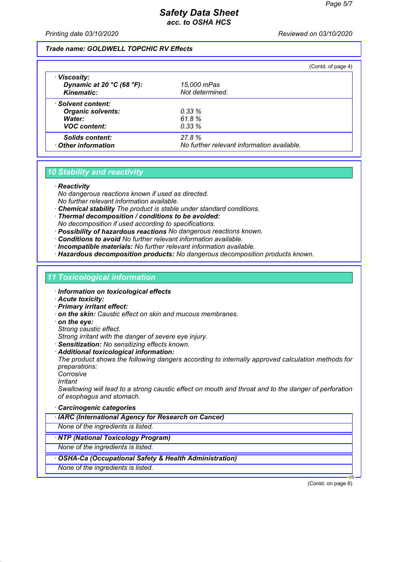*Printing date 03/10/2020 Reviewed on 03/10/2020*

#### *Trade name: GOLDWELL TOPCHIC RV Effects*

|                                                                     |                                            | (Contd. of page 4) |
|---------------------------------------------------------------------|--------------------------------------------|--------------------|
| · Viscosity:<br>Dynamic at 20 $°C$ (68 $°F$ ):<br><b>Kinematic:</b> | 15,000 mPas<br>Not determined.             |                    |
| · Solvent content:                                                  |                                            |                    |
| <b>Organic solvents:</b>                                            | 0.33%                                      |                    |
| Water:                                                              | 61.8%                                      |                    |
| <b>VOC content:</b>                                                 | 0.33%                                      |                    |
| <b>Solids content:</b>                                              | 27.8%                                      |                    |
| Other information                                                   | No further relevant information available. |                    |

#### *10 Stability and reactivity*

#### *· Reactivity*

*No dangerous reactions known if used as directed. No further relevant information available.*

- *· Chemical stability The product is stable under standard conditions.*
- *· Thermal decomposition / conditions to be avoided: No decomposition if used according to specifications.*
- *· Possibility of hazardous reactions No dangerous reactions known.*
- *· Conditions to avoid No further relevant information available.*
- *· Incompatible materials: No further relevant information available.*
- *· Hazardous decomposition products: No dangerous decomposition products known.*

#### *11 Toxicological information*

- *· Information on toxicological effects*
- *· Acute toxicity:*
- *· Primary irritant effect:*
- *· on the skin: Caustic effect on skin and mucous membranes.*
- *· on the eye:*
- *Strong caustic effect.*

*Strong irritant with the danger of severe eye injury.*

- *· Sensitization: No sensitizing effects known.*
- *· Additional toxicological information:*

*The product shows the following dangers according to internally approved calculation methods for preparations:*

- *Corrosive*
- *Irritant*

*Swallowing will lead to a strong caustic effect on mouth and throat and to the danger of perforation of esophagus and stomach.*

- *· Carcinogenic categories*
- *· IARC (International Agency for Research on Cancer)*

*None of the ingredients is listed.*

*· NTP (National Toxicology Program)*

*None of the ingredients is listed.*

- *· OSHA-Ca (Occupational Safety & Health Administration)*
- *None of the ingredients is listed.*

(Contd. on page 6)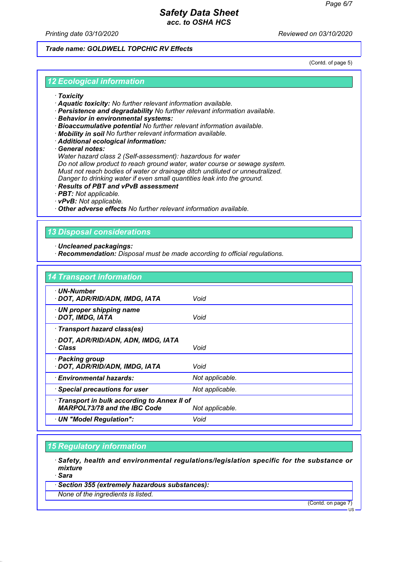*Printing date 03/10/2020 Reviewed on 03/10/2020*

#### *Trade name: GOLDWELL TOPCHIC RV Effects*

(Contd. of page 5)

#### *12 Ecological information*

- *· Toxicity*
- *· Aquatic toxicity: No further relevant information available.*
- *· Persistence and degradability No further relevant information available.*
- *· Behavior in environmental systems:*
- *· Bioaccumulative potential No further relevant information available.*
- *· Mobility in soil No further relevant information available.*
- *· Additional ecological information:*

*· General notes:*

*Water hazard class 2 (Self-assessment): hazardous for water Do not allow product to reach ground water, water course or sewage system. Must not reach bodies of water or drainage ditch undiluted or unneutralized. Danger to drinking water if even small quantities leak into the ground.*

- *· Results of PBT and vPvB assessment*
- *· PBT: Not applicable.*
- *· vPvB: Not applicable.*

*· Other adverse effects No further relevant information available.*

### *13 Disposal considerations*

- *· Uncleaned packagings:*
- *· Recommendation: Disposal must be made according to official regulations.*

| <b>14 Transport information</b>                                                   |                 |
|-----------------------------------------------------------------------------------|-----------------|
| · UN-Number<br>· DOT, ADR/RID/ADN, IMDG, IATA                                     | Void            |
| · UN proper shipping name<br>· DOT, IMDG, IATA                                    | Void            |
| · Transport hazard class(es)                                                      |                 |
| · DOT, ADR/RID/ADN, ADN, IMDG, IATA<br>· Class                                    | Void            |
| · Packing group<br>· DOT, ADR/RID/ADN, IMDG, IATA                                 | Void            |
| · Environmental hazards:                                                          | Not applicable. |
| · Special precautions for user                                                    | Not applicable. |
| Transport in bulk according to Annex II of<br><b>MARPOL73/78 and the IBC Code</b> | Not applicable. |
| · UN "Model Regulation":                                                          | Void            |

### *15 Regulatory information*

- *· Safety, health and environmental regulations/legislation specific for the substance or mixture*
- *· Sara*
- *· Section 355 (extremely hazardous substances):*
- *None of the ingredients is listed.*

(Contd. on page 7)

US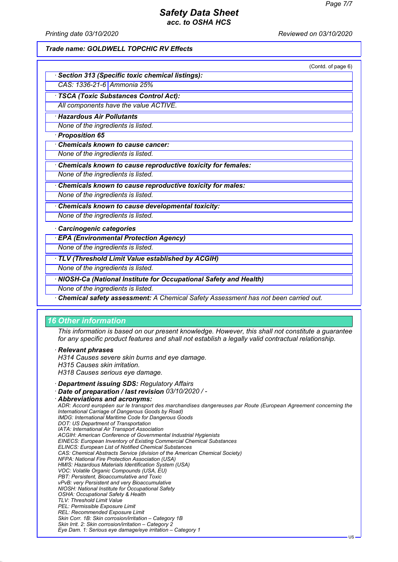*Printing date 03/10/2020 Reviewed on 03/10/2020*

#### *Trade name: GOLDWELL TOPCHIC RV Effects*

|                                                                                    | (Contd. of page 6) |
|------------------------------------------------------------------------------------|--------------------|
| Section 313 (Specific toxic chemical listings):                                    |                    |
| CAS: 1336-21-6 Ammonia 25%                                                         |                    |
| <b>TSCA (Toxic Substances Control Act):</b>                                        |                    |
| All components have the value ACTIVE.                                              |                    |
| <b>Hazardous Air Pollutants</b>                                                    |                    |
| None of the ingredients is listed.                                                 |                    |
| · Proposition 65                                                                   |                    |
| <b>Chemicals known to cause cancer:</b>                                            |                    |
| None of the ingredients is listed.                                                 |                    |
| Chemicals known to cause reproductive toxicity for females:                        |                    |
| None of the ingredients is listed.                                                 |                    |
| Chemicals known to cause reproductive toxicity for males:                          |                    |
| None of the ingredients is listed.                                                 |                    |
| Chemicals known to cause developmental toxicity:                                   |                    |
| None of the ingredients is listed.                                                 |                    |
| Carcinogenic categories                                                            |                    |
| <b>EPA (Environmental Protection Agency)</b>                                       |                    |
| None of the ingredients is listed.                                                 |                    |
| TLV (Threshold Limit Value established by ACGIH)                                   |                    |
| None of the ingredients is listed.                                                 |                    |
| · NIOSH-Ca (National Institute for Occupational Safety and Health)                 |                    |
| None of the ingredients is listed.                                                 |                    |
| Chemical safety assessment: A Chemical Safety Assessment has not been carried out. |                    |

#### *16 Other information*

*This information is based on our present knowledge. However, this shall not constitute a guarantee for any specific product features and shall not establish a legally valid contractual relationship.*

#### *· Relevant phrases*

*H314 Causes severe skin burns and eye damage.*

- *H315 Causes skin irritation.*
- *H318 Causes serious eye damage.*
- *· Department issuing SDS: Regulatory Affairs*
- *· Date of preparation / last revision 03/10/2020 / -*

```
· Abbreviations and acronyms:
 ADR: Accord européen sur le transport des marchandises dangereuses par Route (European Agreement concerning the
 International Carriage of Dangerous Goods by Road)
 IMDG: International Maritime Code for Dangerous Goods
 DOT: US Department of Transportation
 IATA: International Air Transport Association
 ACGIH: American Conference of Governmental Industrial Hygienists
 EINECS: European Inventory of Existing Commercial Chemical Substances
 ELINCS: European List of Notified Chemical Substances
 CAS: Chemical Abstracts Service (division of the American Chemical Society)
 NFPA: National Fire Protection Association (USA)
 HMIS: Hazardous Materials Identification System (USA)
 VOC: Volatile Organic Compounds (USA, EU)
 PBT: Persistent, Bioaccumulative and Toxic
 vPvB: very Persistent and very Bioaccumulative
 NIOSH: National Institute for Occupational Safety
 OSHA: Occupational Safety & Health
 TLV: Threshold Limit Value
 PEL: Permissible Exposure Limit
 REL: Recommended Exposure Limit
 Skin Corr. 1B: Skin corrosion/irritation – Category 1B
 Skin Irrit. 2: Skin corrosion/irritation – Category 2
 Eye Dam. 1: Serious eye damage/eye irritation – Category 1
```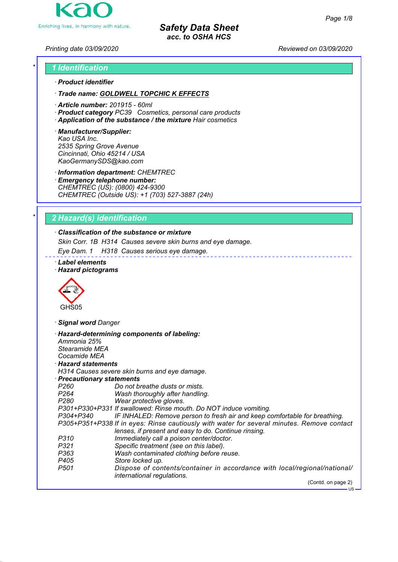

*Printing date 03/09/2020 Reviewed on 03/09/2020*

# *\* 1 Identification · Product identifier*

*· Trade name: GOLDWELL TOPCHIC K EFFECTS*

- *· Article number: 201915 60ml*
- *· Product category PC39 Cosmetics, personal care products*
- *· Application of the substance / the mixture Hair cosmetics*
- *· Manufacturer/Supplier: Kao USA Inc. 2535 Spring Grove Avenue Cincinnati, Ohio 45214 / USA KaoGermanySDS@kao.com*

*· Information department: CHEMTREC*

*· Emergency telephone number: CHEMTREC (US): (0800) 424-9300 CHEMTREC (Outside US): +1 (703) 527-3887 (24h)*

# *\* 2 Hazard(s) identification*

# *· Classification of the substance or mixture*

*Skin Corr. 1B H314 Causes severe skin burns and eye damage.*

*Eye Dam. 1 H318 Causes serious eye damage.*

*· Label elements · Hazard pictograms*



GHS05

*· Signal word Danger*

| Ammonia 25%                | · Hazard-determining components of labeling:                                                            |
|----------------------------|---------------------------------------------------------------------------------------------------------|
| Stearamide MEA             |                                                                                                         |
| Cocamide MEA               |                                                                                                         |
| $\cdot$ Hazard statements  |                                                                                                         |
|                            | H314 Causes severe skin burns and eye damage.                                                           |
| · Precautionary statements |                                                                                                         |
| P260                       | Do not breathe dusts or mists.                                                                          |
| P264 <b>P</b>              | Wash thoroughly after handling.                                                                         |
| P280                       | Wear protective gloves.                                                                                 |
|                            | P301+P330+P331 If swallowed: Rinse mouth. Do NOT induce vomiting.                                       |
|                            | P304+P340 IF INHALED: Remove person to fresh air and keep comfortable for breathing.                    |
|                            | P305+P351+P338 If in eyes: Rinse cautiously with water for several minutes. Remove contact              |
|                            | lenses, if present and easy to do. Continue rinsing.                                                    |
| P310                       | Immediately call a poison center/doctor.                                                                |
| P321                       | Specific treatment (see on this label).                                                                 |
| P363                       | Wash contaminated clothing before reuse.                                                                |
| P405                       | Store locked up.                                                                                        |
| P501                       | Dispose of contents/container in accordance with local/regional/national/<br>international regulations. |
|                            | (Contd. on page 2)                                                                                      |
|                            | $-$ us                                                                                                  |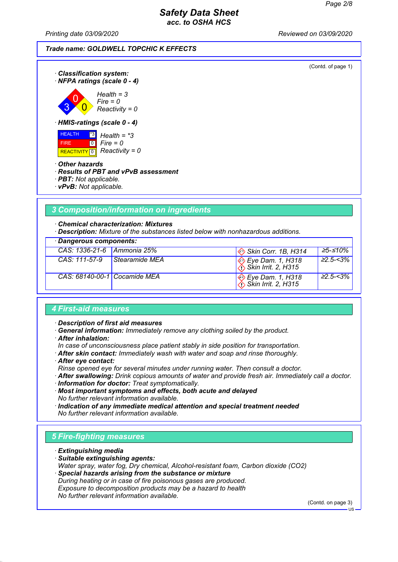*Printing date 03/09/2020 Reviewed on 03/09/2020*

(Contd. of page 1)



 $\overline{\mathbf{0}}$ *Fire = 0 Reactivity = 0*

*· HMIS-ratings (scale 0 - 4)*



*· Other hazards*

3

#### *· Results of PBT and vPvB assessment*

- *· PBT: Not applicable.*
- *· vPvB: Not applicable.*

# *3 Composition/information on ingredients*

*· Chemical characterization: Mixtures*

*· Description: Mixture of the substances listed below with nonhazardous additions.*

|  | · Dangerous components: |
|--|-------------------------|
|--|-------------------------|

| CAS: 1336-21-6 Ammonia 25%   |                | $\otimes$ Skin Corr. 1B, H314            | 25-≤10%        |
|------------------------------|----------------|------------------------------------------|----------------|
| $CAS: 111-57-9$              | Stearamide MEA | $\bigotimes_{\text{A}}$ Eye Dam. 1, H318 | $\geq$ 2.5-<3% |
| CAS: 68140-00-1 Cocamide MEA |                | $\bigotimes_{\text{A}}$ Eye Dam. 1, H318 | $\geq$ 2.5-<3% |

#### *4 First-aid measures*

*· Description of first aid measures*

- *· General information: Immediately remove any clothing soiled by the product.*
- *· After inhalation:*
- *In case of unconsciousness place patient stably in side position for transportation.*
- *· After skin contact: Immediately wash with water and soap and rinse thoroughly.*
- *· After eye contact:*

*Rinse opened eye for several minutes under running water. Then consult a doctor.*

- *· After swallowing: Drink copious amounts of water and provide fresh air. Immediately call a doctor.*
- *· Information for doctor: Treat symptomatically.*

*· Most important symptoms and effects, both acute and delayed No further relevant information available.*

*· Indication of any immediate medical attention and special treatment needed No further relevant information available.*

# *5 Fire-fighting measures*

- *· Extinguishing media*
- *· Suitable extinguishing agents: Water spray, water fog, Dry chemical, Alcohol-resistant foam, Carbon dioxide (CO2)*
- *· Special hazards arising from the substance or mixture During heating or in case of fire poisonous gases are produced. Exposure to decomposition products may be a hazard to health*
- *No further relevant information available.*

(Contd. on page 3)

 $H<sub>S</sub>$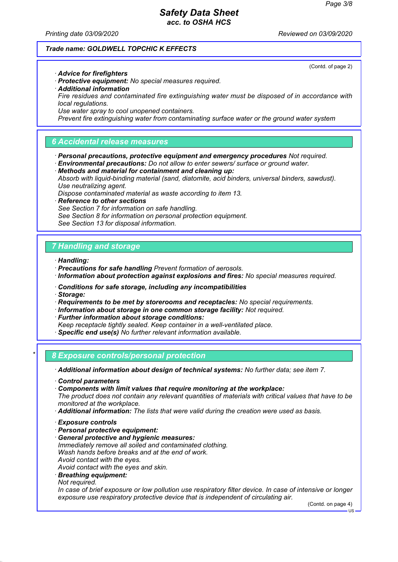(Contd. of page 2)

### *Safety Data Sheet acc. to OSHA HCS*

*Printing date 03/09/2020 Reviewed on 03/09/2020*

#### *Trade name: GOLDWELL TOPCHIC K EFFECTS*

*· Advice for firefighters*

- *· Protective equipment: No special measures required.*
- *· Additional information*
- *Fire residues and contaminated fire extinguishing water must be disposed of in accordance with local regulations.*
- *Use water spray to cool unopened containers.*

*Prevent fire extinguishing water from contaminating surface water or the ground water system*

### *6 Accidental release measures*

- *· Personal precautions, protective equipment and emergency procedures Not required.*
- *· Environmental precautions: Do not allow to enter sewers/ surface or ground water.*
- *· Methods and material for containment and cleaning up:*

*Absorb with liquid-binding material (sand, diatomite, acid binders, universal binders, sawdust). Use neutralizing agent.*

*Dispose contaminated material as waste according to item 13.*

*· Reference to other sections See Section 7 for information on safe handling. See Section 8 for information on personal protection equipment. See Section 13 for disposal information.*

### *7 Handling and storage*

*· Handling:*

- *· Precautions for safe handling Prevent formation of aerosols.*
- *· Information about protection against explosions and fires: No special measures required.*
- *· Conditions for safe storage, including any incompatibilities*
- *· Storage:*
- *· Requirements to be met by storerooms and receptacles: No special requirements.*
- *· Information about storage in one common storage facility: Not required.*
- *· Further information about storage conditions:*
- *Keep receptacle tightly sealed. Keep container in a well-ventilated place.*
- *· Specific end use(s) No further relevant information available.*

#### *\* 8 Exposure controls/personal protection*

*· Additional information about design of technical systems: No further data; see item 7.*

- *· Control parameters*
- *· Components with limit values that require monitoring at the workplace:*

*The product does not contain any relevant quantities of materials with critical values that have to be monitored at the workplace.*

- *· Additional information: The lists that were valid during the creation were used as basis.*
- *· Exposure controls*
- *· Personal protective equipment:*
- *· General protective and hygienic measures:*
- *Immediately remove all soiled and contaminated clothing. Wash hands before breaks and at the end of work.*
- *Avoid contact with the eyes.*
- *Avoid contact with the eyes and skin.*
- *· Breathing equipment:*

*Not required.*

*In case of brief exposure or low pollution use respiratory filter device. In case of intensive or longer exposure use respiratory protective device that is independent of circulating air.*

(Contd. on page 4)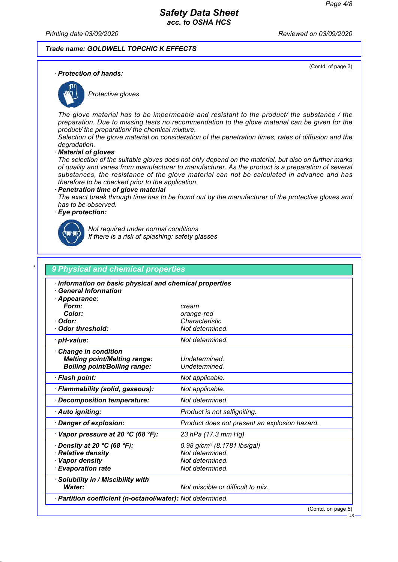(Contd. of page 3)

### *Safety Data Sheet acc. to OSHA HCS*

*Printing date 03/09/2020 Reviewed on 03/09/2020*

#### *Trade name: GOLDWELL TOPCHIC K EFFECTS*

*· Protection of hands:*



*Protective gloves*

*The glove material has to be impermeable and resistant to the product/ the substance / the preparation. Due to missing tests no recommendation to the glove material can be given for the product/ the preparation/ the chemical mixture.*

*Selection of the glove material on consideration of the penetration times, rates of diffusion and the degradation.*

*· Material of gloves*

*The selection of the suitable gloves does not only depend on the material, but also on further marks of quality and varies from manufacturer to manufacturer. As the product is a preparation of several substances, the resistance of the glove material can not be calculated in advance and has therefore to be checked prior to the application.*

#### *· Penetration time of glove material*

*The exact break through time has to be found out by the manufacturer of the protective gloves and has to be observed.*

#### *· Eye protection:*



*Not required under normal conditions If there is a risk of splashing: safety glasses*

| Information on basic physical and chemical properties<br><b>General Information</b> |                                               |
|-------------------------------------------------------------------------------------|-----------------------------------------------|
| · Appearance:                                                                       |                                               |
| Form:                                                                               | cream                                         |
| Color:                                                                              | orange-red                                    |
| · Odor:                                                                             | Characteristic                                |
| <b>Odor threshold:</b>                                                              | Not determined.                               |
| · pH-value:                                                                         | Not determined.                               |
| <b>Change in condition</b>                                                          |                                               |
| <b>Melting point/Melting range:</b>                                                 | Undetermined.                                 |
| <b>Boiling point/Boiling range:</b>                                                 | Undetermined.                                 |
| · Flash point:                                                                      | Not applicable.                               |
| · Flammability (solid, gaseous):                                                    | Not applicable.                               |
| Decomposition temperature:                                                          | Not determined.                               |
| · Auto igniting:                                                                    | Product is not selfigniting.                  |
| Danger of explosion:                                                                | Product does not present an explosion hazard. |
| $\cdot$ Vapor pressure at 20 °C (68 °F):                                            | 23 hPa (17.3 mm Hg)                           |
| $\cdot$ Density at 20 °C (68 °F):                                                   | $0.98$ g/cm <sup>3</sup> (8.1781 lbs/gal)     |
| · Relative density                                                                  | Not determined.                               |
| · Vapor density                                                                     | Not determined.                               |
| <b>Evaporation rate</b>                                                             | Not determined.                               |
| · Solubility in / Miscibility with                                                  |                                               |
| <b>Water:</b>                                                                       | Not miscible or difficult to mix.             |

(Contd. on page 5)

US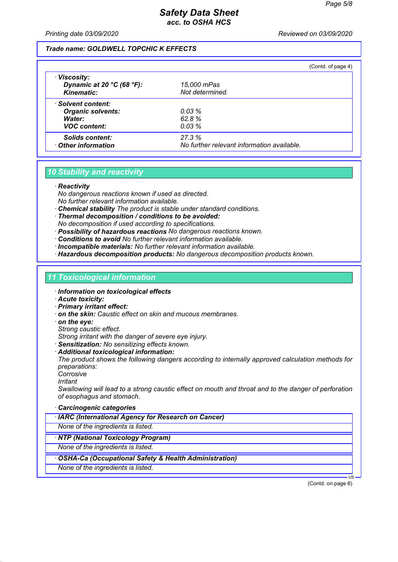*Printing date 03/09/2020 Reviewed on 03/09/2020*

#### *Trade name: GOLDWELL TOPCHIC K EFFECTS*

|                                                                                    |                                            | (Contd. of page 4) |
|------------------------------------------------------------------------------------|--------------------------------------------|--------------------|
| · Viscosity:<br>Dynamic at 20 $^{\circ}$ C (68 $^{\circ}$ F):<br><b>Kinematic:</b> | 15,000 mPas<br>Not determined.             |                    |
| · Solvent content:                                                                 |                                            |                    |
| <b>Organic solvents:</b>                                                           | 0.03%                                      |                    |
| Water:                                                                             | 62.8%                                      |                    |
| <b>VOC content:</b>                                                                | 0.03%                                      |                    |
| <b>Solids content:</b>                                                             | 27.3%                                      |                    |
| Other information                                                                  | No further relevant information available. |                    |

#### *10 Stability and reactivity*

#### *· Reactivity*

*No dangerous reactions known if used as directed. No further relevant information available.*

- *· Chemical stability The product is stable under standard conditions.*
- *· Thermal decomposition / conditions to be avoided: No decomposition if used according to specifications.*

*· Possibility of hazardous reactions No dangerous reactions known.*

*· Conditions to avoid No further relevant information available.*

*· Incompatible materials: No further relevant information available.*

*· Hazardous decomposition products: No dangerous decomposition products known.*

### *11 Toxicological information*

- *· Information on toxicological effects*
- *· Acute toxicity:*
- *· Primary irritant effect:*
- *· on the skin: Caustic effect on skin and mucous membranes.*
- *· on the eye:*
- *Strong caustic effect.*

*Strong irritant with the danger of severe eye injury.*

- *· Sensitization: No sensitizing effects known.*
- *· Additional toxicological information:*

*The product shows the following dangers according to internally approved calculation methods for preparations:*

- *Corrosive*
- *Irritant*

*Swallowing will lead to a strong caustic effect on mouth and throat and to the danger of perforation of esophagus and stomach.*

- *· Carcinogenic categories*
- *· IARC (International Agency for Research on Cancer)*

*None of the ingredients is listed.*

*· NTP (National Toxicology Program)*

*None of the ingredients is listed.*

- *· OSHA-Ca (Occupational Safety & Health Administration)*
- *None of the ingredients is listed.*

(Contd. on page 6)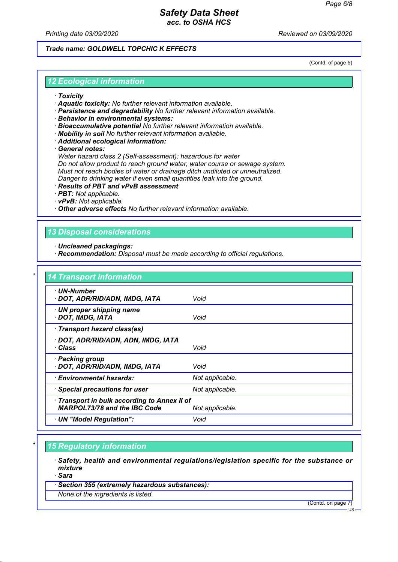*Printing date 03/09/2020 Reviewed on 03/09/2020*

### *Trade name: GOLDWELL TOPCHIC K EFFECTS*

(Contd. of page 5)

#### *12 Ecological information*

- *· Toxicity*
- *· Aquatic toxicity: No further relevant information available.*
- *· Persistence and degradability No further relevant information available.*
- *· Behavior in environmental systems:*
- *· Bioaccumulative potential No further relevant information available.*
- *· Mobility in soil No further relevant information available.*
- *· Additional ecological information:*

*· General notes:*

*Water hazard class 2 (Self-assessment): hazardous for water Do not allow product to reach ground water, water course or sewage system. Must not reach bodies of water or drainage ditch undiluted or unneutralized. Danger to drinking water if even small quantities leak into the ground.*

- *· Results of PBT and vPvB assessment*
- *· PBT: Not applicable.*
- *· vPvB: Not applicable.*

*· Other adverse effects No further relevant information available.*

### *13 Disposal considerations*

- *· Uncleaned packagings:*
- *· Recommendation: Disposal must be made according to official regulations.*

| · UN-Number                                  |                 |
|----------------------------------------------|-----------------|
| · DOT, ADR/RID/ADN, IMDG, IATA               | Void            |
| · UN proper shipping name                    |                 |
| · DOT, IMDG, IATA                            | Void            |
| · Transport hazard class(es)                 |                 |
| · DOT, ADR/RID/ADN, ADN, IMDG, IATA          |                 |
| · Class                                      | Void            |
| · Packing group                              |                 |
| · DOT, ADR/RID/ADN, IMDG, IATA               | Void            |
| · Environmental hazards:                     | Not applicable. |
| · Special precautions for user               | Not applicable. |
| · Transport in bulk according to Annex II of |                 |
| <b>MARPOL73/78 and the IBC Code</b>          | Not applicable. |

### *\* 15 Regulatory information*

- *· Safety, health and environmental regulations/legislation specific for the substance or mixture*
- *· Sara*
- *· Section 355 (extremely hazardous substances):*
- *None of the ingredients is listed.*

(Contd. on page 7)

US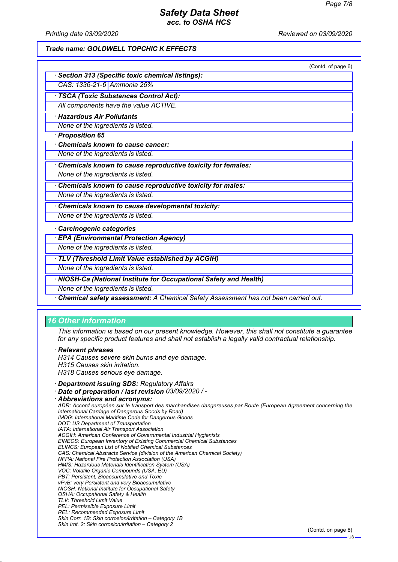*Printing date 03/09/2020 Reviewed on 03/09/2020*

#### *Trade name: GOLDWELL TOPCHIC K EFFECTS*

|                                                                                    | (Contd. of page 6) |
|------------------------------------------------------------------------------------|--------------------|
| <b>Section 313 (Specific toxic chemical listings):</b>                             |                    |
| CAS: 1336-21-6 Ammonia 25%                                                         |                    |
| · TSCA (Toxic Substances Control Act):                                             |                    |
| All components have the value ACTIVE.                                              |                    |
| · Hazardous Air Pollutants                                                         |                    |
| None of the ingredients is listed.                                                 |                    |
| · Proposition 65                                                                   |                    |
| Chemicals known to cause cancer:                                                   |                    |
| None of the ingredients is listed.                                                 |                    |
| Chemicals known to cause reproductive toxicity for females:                        |                    |
| None of the ingredients is listed.                                                 |                    |
| Chemicals known to cause reproductive toxicity for males:                          |                    |
| None of the ingredients is listed.                                                 |                    |
| Chemicals known to cause developmental toxicity:                                   |                    |
| None of the ingredients is listed.                                                 |                    |
| · Carcinogenic categories                                                          |                    |
| · EPA (Environmental Protection Agency)                                            |                    |
| None of the ingredients is listed.                                                 |                    |
| · TLV (Threshold Limit Value established by ACGIH)                                 |                    |
| None of the ingredients is listed.                                                 |                    |
| · NIOSH-Ca (National Institute for Occupational Safety and Health)                 |                    |
| None of the ingredients is listed.                                                 |                    |
| Chemical safety assessment: A Chemical Safety Assessment has not been carried out. |                    |

#### *16 Other information*

*This information is based on our present knowledge. However, this shall not constitute a guarantee for any specific product features and shall not establish a legally valid contractual relationship.*

*· Relevant phrases*

*H314 Causes severe skin burns and eye damage.*

*H315 Causes skin irritation.*

*H318 Causes serious eye damage.*

*· Department issuing SDS: Regulatory Affairs*

*· Date of preparation / last revision 03/09/2020 / -*

*· Abbreviations and acronyms: ADR: Accord européen sur le transport des marchandises dangereuses par Route (European Agreement concerning the International Carriage of Dangerous Goods by Road) IMDG: International Maritime Code for Dangerous Goods DOT: US Department of Transportation IATA: International Air Transport Association ACGIH: American Conference of Governmental Industrial Hygienists EINECS: European Inventory of Existing Commercial Chemical Substances ELINCS: European List of Notified Chemical Substances CAS: Chemical Abstracts Service (division of the American Chemical Society) NFPA: National Fire Protection Association (USA) HMIS: Hazardous Materials Identification System (USA) VOC: Volatile Organic Compounds (USA, EU) PBT: Persistent, Bioaccumulative and Toxic vPvB: very Persistent and very Bioaccumulative NIOSH: National Institute for Occupational Safety OSHA: Occupational Safety & Health TLV: Threshold Limit Value PEL: Permissible Exposure Limit REL: Recommended Exposure Limit Skin Corr. 1B: Skin corrosion/irritation – Category 1B Skin Irrit. 2: Skin corrosion/irritation – Category 2* (Contd. on page 8)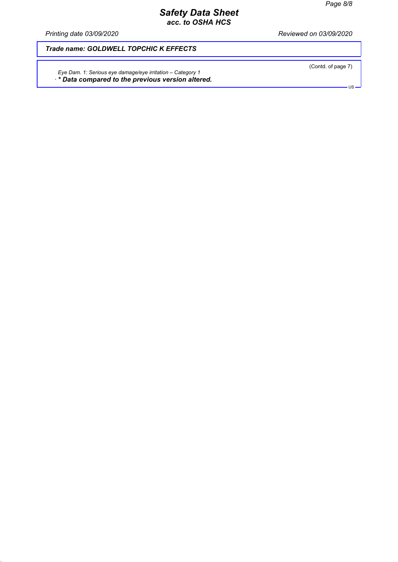*Printing date 03/09/2020 Reviewed on 03/09/2020*

*Trade name: GOLDWELL TOPCHIC K EFFECTS*

*Eye Dam. 1: Serious eye damage/eye irritation – Category 1 · \* Data compared to the previous version altered.*  (Contd. of page 7)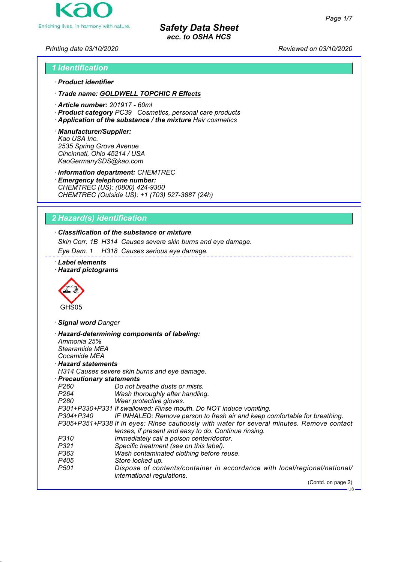

*Printing date 03/10/2020 Reviewed on 03/10/2020*

# *1 Identification · Product identifier*

- *· Trade name: GOLDWELL TOPCHIC R Effects*
- *· Article number: 201917 60ml*
- *· Product category PC39 Cosmetics, personal care products*
- *· Application of the substance / the mixture Hair cosmetics*
- *· Manufacturer/Supplier: Kao USA Inc. 2535 Spring Grove Avenue Cincinnati, Ohio 45214 / USA KaoGermanySDS@kao.com*

*· Information department: CHEMTREC*

*· Emergency telephone number: CHEMTREC (US): (0800) 424-9300 CHEMTREC (Outside US): +1 (703) 527-3887 (24h)*

# *2 Hazard(s) identification*

# *· Classification of the substance or mixture*

*Skin Corr. 1B H314 Causes severe skin burns and eye damage.*

*Eye Dam. 1 H318 Causes serious eye damage.*

- *· Label elements*
- *· Hazard pictograms*



*· Signal word Danger*

| Ammonia 25%                | · Hazard-determining components of labeling:                                                            |
|----------------------------|---------------------------------------------------------------------------------------------------------|
| Stearamide MEA             |                                                                                                         |
| Cocamide MEA               |                                                                                                         |
| $\cdot$ Hazard statements  |                                                                                                         |
|                            | H314 Causes severe skin burns and eye damage.                                                           |
| · Precautionary statements |                                                                                                         |
| P260                       | Do not breathe dusts or mists.                                                                          |
| P264 P                     | Wash thoroughly after handling.                                                                         |
| P280                       | Wear protective gloves.                                                                                 |
|                            | P301+P330+P331 If swallowed: Rinse mouth. Do NOT induce vomiting.                                       |
| P304+P340                  | IF INHALED: Remove person to fresh air and keep comfortable for breathing.                              |
|                            | P305+P351+P338 If in eyes: Rinse cautiously with water for several minutes. Remove contact              |
|                            | lenses, if present and easy to do. Continue rinsing.                                                    |
| P310                       | Immediately call a poison center/doctor.                                                                |
| P321                       | Specific treatment (see on this label).                                                                 |
| P363                       | Wash contaminated clothing before reuse.                                                                |
| P405                       | Store locked up.                                                                                        |
| P501                       | Dispose of contents/container in accordance with local/regional/national/<br>international regulations. |
|                            | (Contd. on page 2)                                                                                      |
|                            | $-$ US                                                                                                  |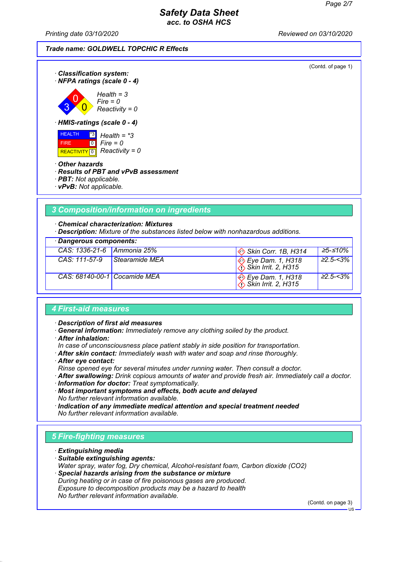*Printing date 03/10/2020 Reviewed on 03/10/2020*

| <b>Trade name: GOLDWELL TOPCHIC R Effects</b> |
|-----------------------------------------------|
|-----------------------------------------------|



# *3 Composition/information on ingredients*

*· Chemical characterization: Mixtures*

*· Description: Mixture of the substances listed below with nonhazardous additions.*

| · Dangerous components:      |                |                                                  |                        |
|------------------------------|----------------|--------------------------------------------------|------------------------|
| CAS: 1336-21-6   Ammonia 25% |                | Skin Corr. 1B, H314                              | 25-≤10%                |
| CAS: 111-57-9                | Stearamide MEA | $\bigotimes_{i} \bigotimes_{i}$ Eye Dam. 1, H318 | $\geq 2.5 - 3\%$       |
| CAS: 68140-00-1 Cocamide MEA |                | $\bigotimes_{i}$ Eye Dam. 1, H318                | $\frac{1}{2}$ 22.5-<3% |

#### *4 First-aid measures*

*· Description of first aid measures*

- *· General information: Immediately remove any clothing soiled by the product.*
- *· After inhalation:*
- *In case of unconsciousness place patient stably in side position for transportation.*
- *· After skin contact: Immediately wash with water and soap and rinse thoroughly.*
- *· After eye contact:*

*Rinse opened eye for several minutes under running water. Then consult a doctor.*

*· After swallowing: Drink copious amounts of water and provide fresh air. Immediately call a doctor.*

*· Information for doctor: Treat symptomatically.*

*· Most important symptoms and effects, both acute and delayed No further relevant information available.*

*· Indication of any immediate medical attention and special treatment needed No further relevant information available.*

### *5 Fire-fighting measures*

- *· Extinguishing media*
- *· Suitable extinguishing agents: Water spray, water fog, Dry chemical, Alcohol-resistant foam, Carbon dioxide (CO2)*
- *· Special hazards arising from the substance or mixture During heating or in case of fire poisonous gases are produced. Exposure to decomposition products may be a hazard to health No further relevant information available.*

(Contd. on page 3)

 $H<sub>S</sub>$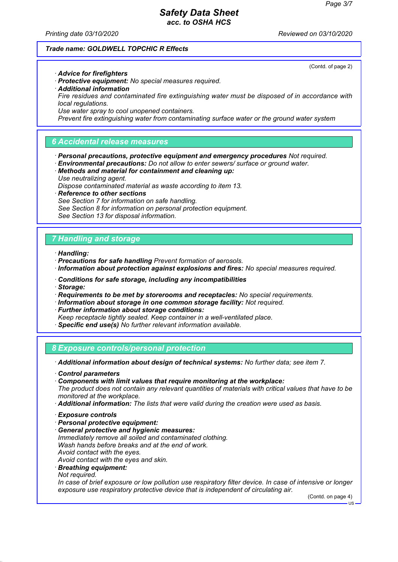(Contd. of page 2)

### *Safety Data Sheet acc. to OSHA HCS*

*Printing date 03/10/2020 Reviewed on 03/10/2020*

#### *Trade name: GOLDWELL TOPCHIC R Effects*

*· Advice for firefighters*

- *· Protective equipment: No special measures required.*
- *· Additional information*
- *Fire residues and contaminated fire extinguishing water must be disposed of in accordance with local regulations.*
- *Use water spray to cool unopened containers.*

*Prevent fire extinguishing water from contaminating surface water or the ground water system*

### *6 Accidental release measures*

- *· Personal precautions, protective equipment and emergency procedures Not required.*
- *· Environmental precautions: Do not allow to enter sewers/ surface or ground water.*
- *· Methods and material for containment and cleaning up: Use neutralizing agent.*
- *Dispose contaminated material as waste according to item 13.*
- *· Reference to other sections*
- *See Section 7 for information on safe handling.*
- *See Section 8 for information on personal protection equipment.*
- *See Section 13 for disposal information.*

### *7 Handling and storage*

*· Handling:*

- *· Precautions for safe handling Prevent formation of aerosols.*
- *· Information about protection against explosions and fires: No special measures required.*
- *· Conditions for safe storage, including any incompatibilities*
- *· Storage:*
- *· Requirements to be met by storerooms and receptacles: No special requirements.*
- *· Information about storage in one common storage facility: Not required.*
- *· Further information about storage conditions:*
- *Keep receptacle tightly sealed. Keep container in a well-ventilated place.*
- *· Specific end use(s) No further relevant information available.*

*8 Exposure controls/personal protection*

*· Additional information about design of technical systems: No further data; see item 7.*

- *· Control parameters*
- *· Components with limit values that require monitoring at the workplace:*

*The product does not contain any relevant quantities of materials with critical values that have to be monitored at the workplace.*

- *· Additional information: The lists that were valid during the creation were used as basis.*
- *· Exposure controls*
- *· Personal protective equipment:*
- *· General protective and hygienic measures: Immediately remove all soiled and contaminated clothing. Wash hands before breaks and at the end of work. Avoid contact with the eyes. Avoid contact with the eyes and skin.*
- 
- *· Breathing equipment:*
- *Not required.*

*In case of brief exposure or low pollution use respiratory filter device. In case of intensive or longer exposure use respiratory protective device that is independent of circulating air.*

(Contd. on page 4)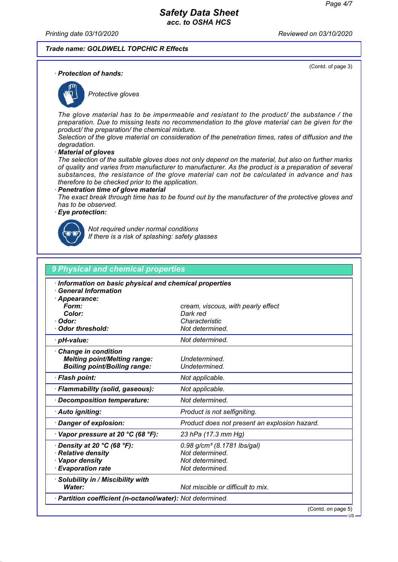(Contd. of page 3)

#### *Safety Data Sheet acc. to OSHA HCS*

*Printing date 03/10/2020 Reviewed on 03/10/2020*

#### *Trade name: GOLDWELL TOPCHIC R Effects*

*· Protection of hands:*



*Protective gloves*

*The glove material has to be impermeable and resistant to the product/ the substance / the preparation. Due to missing tests no recommendation to the glove material can be given for the product/ the preparation/ the chemical mixture.*

*Selection of the glove material on consideration of the penetration times, rates of diffusion and the degradation.*

*· Material of gloves*

*The selection of the suitable gloves does not only depend on the material, but also on further marks of quality and varies from manufacturer to manufacturer. As the product is a preparation of several substances, the resistance of the glove material can not be calculated in advance and has therefore to be checked prior to the application.*

#### *· Penetration time of glove material*

*The exact break through time has to be found out by the manufacturer of the protective gloves and has to be observed.*

#### *· Eye protection:*



*Not required under normal conditions If there is a risk of splashing: safety glasses*

| 9 Physical and chemical properties                         |                                               |
|------------------------------------------------------------|-----------------------------------------------|
| Information on basic physical and chemical properties      |                                               |
| <b>General Information</b>                                 |                                               |
| Appearance:                                                |                                               |
| Form:                                                      | cream, viscous, with pearly effect            |
| Color:                                                     | Dark red                                      |
| Odor:<br><b>Odor threshold:</b>                            | Characteristic<br>Not determined.             |
|                                                            |                                               |
| · pH-value:                                                | Not determined.                               |
| <b>Change in condition</b>                                 |                                               |
| <b>Melting point/Melting range:</b>                        | Undetermined.                                 |
| <b>Boiling point/Boiling range:</b>                        | Undetermined.                                 |
| · Flash point:                                             | Not applicable.                               |
| · Flammability (solid, gaseous):                           | Not applicable.                               |
| Decomposition temperature:                                 | Not determined.                               |
| · Auto igniting:                                           | Product is not selfigniting.                  |
| Danger of explosion:                                       | Product does not present an explosion hazard. |
| $\cdot$ Vapor pressure at 20 °C (68 °F):                   | 23 hPa (17.3 mm Hg)                           |
| Density at 20 $°C$ (68 $°F$ ):                             | $0.98$ g/cm <sup>3</sup> (8.1781 lbs/gal)     |
| · Relative density                                         | Not determined.                               |
| · Vapor density                                            | Not determined.                               |
| · Evaporation rate                                         | Not determined.                               |
| Solubility in / Miscibility with                           |                                               |
| Water:                                                     | Not miscible or difficult to mix.             |
| · Partition coefficient (n-octanol/water): Not determined. |                                               |

(Contd. on page 5)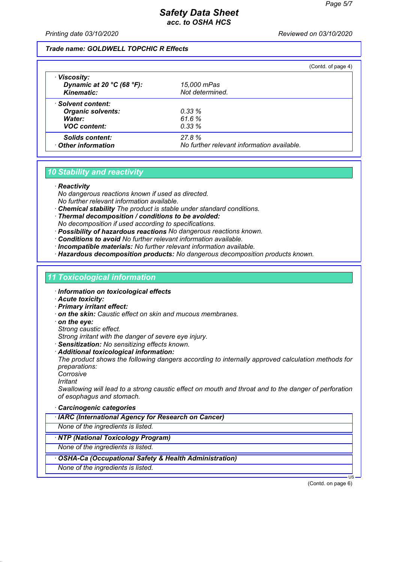*Printing date 03/10/2020 Reviewed on 03/10/2020*

#### *Trade name: GOLDWELL TOPCHIC R Effects*

|                                                                     |                                            | (Contd. of page 4) |
|---------------------------------------------------------------------|--------------------------------------------|--------------------|
| · Viscosity:<br>Dynamic at 20 $°C$ (68 $°F$ ):<br><b>Kinematic:</b> | 15,000 mPas<br>Not determined.             |                    |
| · Solvent content:                                                  |                                            |                    |
| <b>Organic solvents:</b>                                            | 0.33%                                      |                    |
| Water:                                                              | 61.6%                                      |                    |
| <b>VOC content:</b>                                                 | 0.33%                                      |                    |
| <b>Solids content:</b>                                              | 27.8%                                      |                    |
| Other information                                                   | No further relevant information available. |                    |

### *10 Stability and reactivity*

#### *· Reactivity*

*No dangerous reactions known if used as directed. No further relevant information available.*

- *· Chemical stability The product is stable under standard conditions.*
- *· Thermal decomposition / conditions to be avoided: No decomposition if used according to specifications.*
- *· Possibility of hazardous reactions No dangerous reactions known.*
- *· Conditions to avoid No further relevant information available.*
- *· Incompatible materials: No further relevant information available.*
- *· Hazardous decomposition products: No dangerous decomposition products known.*

#### *11 Toxicological information*

- *· Information on toxicological effects*
- *· Acute toxicity:*
- *· Primary irritant effect:*
- *· on the skin: Caustic effect on skin and mucous membranes.*
- *· on the eye:*
- *Strong caustic effect.*

*Strong irritant with the danger of severe eye injury.*

- *· Sensitization: No sensitizing effects known.*
- *· Additional toxicological information:*

*The product shows the following dangers according to internally approved calculation methods for preparations:*

- *Corrosive*
- *Irritant*

*Swallowing will lead to a strong caustic effect on mouth and throat and to the danger of perforation of esophagus and stomach.*

- *· Carcinogenic categories*
- *· IARC (International Agency for Research on Cancer)*

*None of the ingredients is listed.*

*· NTP (National Toxicology Program)*

*None of the ingredients is listed.*

- *· OSHA-Ca (Occupational Safety & Health Administration)*
- *None of the ingredients is listed.*

(Contd. on page 6)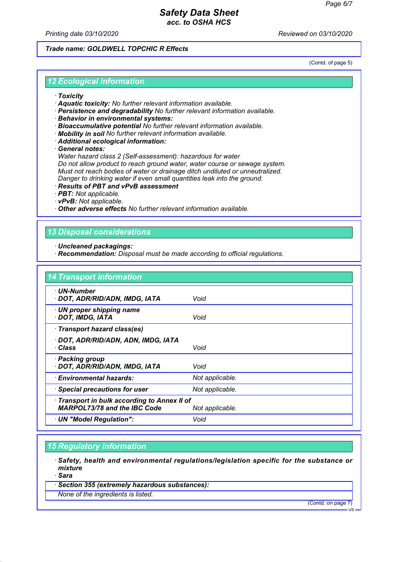*Printing date 03/10/2020 Reviewed on 03/10/2020*

#### *Trade name: GOLDWELL TOPCHIC R Effects*

(Contd. of page 5)

#### *12 Ecological information*

- *· Toxicity*
- *· Aquatic toxicity: No further relevant information available.*
- *· Persistence and degradability No further relevant information available.*
- *· Behavior in environmental systems:*
- *· Bioaccumulative potential No further relevant information available.*
- *· Mobility in soil No further relevant information available.*
- *· Additional ecological information:*

*· General notes:*

*Water hazard class 2 (Self-assessment): hazardous for water Do not allow product to reach ground water, water course or sewage system. Must not reach bodies of water or drainage ditch undiluted or unneutralized. Danger to drinking water if even small quantities leak into the ground.*

- *· Results of PBT and vPvB assessment*
- *· PBT: Not applicable.*
- *· vPvB: Not applicable.*

*· Other adverse effects No further relevant information available.*

### *13 Disposal considerations*

- *· Uncleaned packagings:*
- *· Recommendation: Disposal must be made according to official regulations.*

| <b>14 Transport information</b>                                                   |                 |
|-----------------------------------------------------------------------------------|-----------------|
| · UN-Number<br>· DOT, ADR/RID/ADN, IMDG, IATA                                     | Void            |
| $\cdot$ UN proper shipping name<br>· DOT, IMDG, IATA                              | Void            |
| · Transport hazard class(es)                                                      |                 |
| · DOT, ADR/RID/ADN, ADN, IMDG, IATA<br>· Class                                    | Void            |
| · Packing group<br>· DOT, ADR/RID/ADN, IMDG, IATA                                 | Void            |
| · Environmental hazards:                                                          | Not applicable. |
| · Special precautions for user                                                    | Not applicable. |
| Transport in bulk according to Annex II of<br><b>MARPOL73/78 and the IBC Code</b> | Not applicable. |
| · UN "Model Regulation":                                                          | Void            |

### *15 Regulatory information*

*· Safety, health and environmental regulations/legislation specific for the substance or mixture*

*· Sara*

*· Section 355 (extremely hazardous substances):*

*None of the ingredients is listed.*

(Contd. on page 7)

US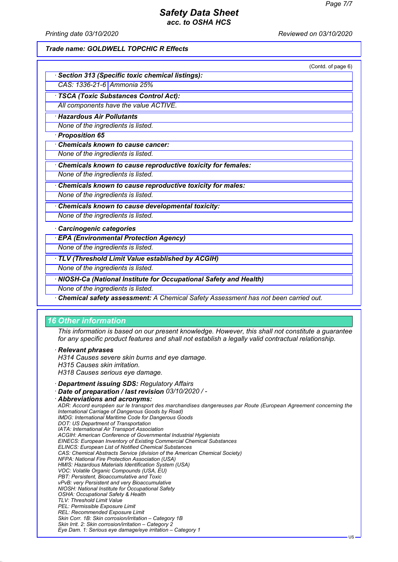*Printing date 03/10/2020 Reviewed on 03/10/2020*

#### *Trade name: GOLDWELL TOPCHIC R Effects*

|                                                                                    | (Contd. of page 6) |
|------------------------------------------------------------------------------------|--------------------|
| <b>Section 313 (Specific toxic chemical listings):</b>                             |                    |
| CAS: 1336-21-6 Ammonia 25%                                                         |                    |
| · TSCA (Toxic Substances Control Act):                                             |                    |
| All components have the value ACTIVE.                                              |                    |
| · Hazardous Air Pollutants                                                         |                    |
| None of the ingredients is listed.                                                 |                    |
| · Proposition 65                                                                   |                    |
| <b>Chemicals known to cause cancer:</b>                                            |                    |
| None of the ingredients is listed.                                                 |                    |
| Chemicals known to cause reproductive toxicity for females:                        |                    |
| None of the ingredients is listed.                                                 |                    |
| Chemicals known to cause reproductive toxicity for males:                          |                    |
| None of the ingredients is listed.                                                 |                    |
| Chemicals known to cause developmental toxicity:                                   |                    |
| None of the ingredients is listed.                                                 |                    |
| · Carcinogenic categories                                                          |                    |
| · EPA (Environmental Protection Agency)                                            |                    |
| None of the ingredients is listed.                                                 |                    |
| TLV (Threshold Limit Value established by ACGIH)                                   |                    |
| None of the ingredients is listed.                                                 |                    |
| · NIOSH-Ca (National Institute for Occupational Safety and Health)                 |                    |
| None of the ingredients is listed.                                                 |                    |
| Chemical safety assessment: A Chemical Safety Assessment has not been carried out. |                    |

#### *16 Other information*

*This information is based on our present knowledge. However, this shall not constitute a guarantee for any specific product features and shall not establish a legally valid contractual relationship.*

*· Relevant phrases*

*H314 Causes severe skin burns and eye damage.*

*H315 Causes skin irritation.*

*H318 Causes serious eye damage.*

*· Department issuing SDS: Regulatory Affairs*

*· Date of preparation / last revision 03/10/2020 / -*

*· Abbreviations and acronyms: ADR: Accord européen sur le transport des marchandises dangereuses par Route (European Agreement concerning the International Carriage of Dangerous Goods by Road) IMDG: International Maritime Code for Dangerous Goods DOT: US Department of Transportation IATA: International Air Transport Association ACGIH: American Conference of Governmental Industrial Hygienists EINECS: European Inventory of Existing Commercial Chemical Substances ELINCS: European List of Notified Chemical Substances CAS: Chemical Abstracts Service (division of the American Chemical Society) NFPA: National Fire Protection Association (USA) HMIS: Hazardous Materials Identification System (USA) VOC: Volatile Organic Compounds (USA, EU) PBT: Persistent, Bioaccumulative and Toxic vPvB: very Persistent and very Bioaccumulative NIOSH: National Institute for Occupational Safety OSHA: Occupational Safety & Health TLV: Threshold Limit Value PEL: Permissible Exposure Limit REL: Recommended Exposure Limit Skin Corr. 1B: Skin corrosion/irritation – Category 1B Skin Irrit. 2: Skin corrosion/irritation – Category 2 Eye Dam. 1: Serious eye damage/eye irritation – Category 1*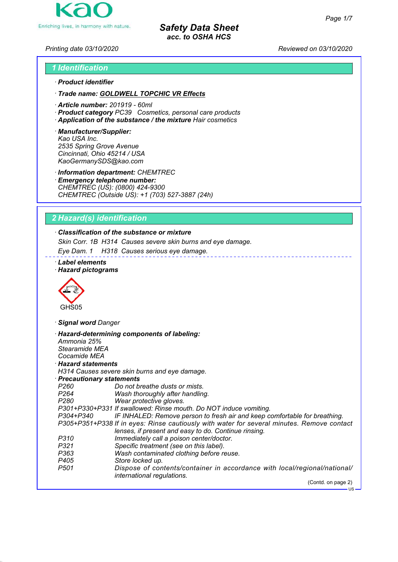

*Printing date 03/10/2020 Reviewed on 03/10/2020*

# *1 Identification · Product identifier*

*· Trade name: GOLDWELL TOPCHIC VR Effects*

- *· Article number: 201919 60ml*
- *· Product category PC39 Cosmetics, personal care products*
- *· Application of the substance / the mixture Hair cosmetics*
- *· Manufacturer/Supplier: Kao USA Inc. 2535 Spring Grove Avenue Cincinnati, Ohio 45214 / USA KaoGermanySDS@kao.com*

*· Information department: CHEMTREC*

*· Emergency telephone number: CHEMTREC (US): (0800) 424-9300 CHEMTREC (Outside US): +1 (703) 527-3887 (24h)*

# *2 Hazard(s) identification*

# *· Classification of the substance or mixture*

*Skin Corr. 1B H314 Causes severe skin burns and eye damage.*

*Eye Dam. 1 H318 Causes serious eye damage.*

- *· Label elements*
- *· Hazard pictograms*



*· Signal word Danger*

| Ammonia 25%                | · Hazard-determining components of labeling:                                                            |
|----------------------------|---------------------------------------------------------------------------------------------------------|
| Stearamide MEA             |                                                                                                         |
| Cocamide MEA               |                                                                                                         |
| $\cdot$ Hazard statements  |                                                                                                         |
|                            | H314 Causes severe skin burns and eye damage.                                                           |
| · Precautionary statements |                                                                                                         |
| P260                       | Do not breathe dusts or mists.                                                                          |
| P264 P                     | Wash thoroughly after handling.                                                                         |
| P280                       | Wear protective gloves.                                                                                 |
|                            | P301+P330+P331 If swallowed: Rinse mouth. Do NOT induce vomiting.                                       |
| P304+P340                  | IF INHALED: Remove person to fresh air and keep comfortable for breathing.                              |
|                            | P305+P351+P338 If in eyes: Rinse cautiously with water for several minutes. Remove contact              |
|                            | lenses, if present and easy to do. Continue rinsing.                                                    |
| P310                       | Immediately call a poison center/doctor.                                                                |
| P321                       | Specific treatment (see on this label).                                                                 |
| P363                       | Wash contaminated clothing before reuse.                                                                |
| P405                       | Store locked up.                                                                                        |
| P501                       | Dispose of contents/container in accordance with local/regional/national/<br>international regulations. |
|                            | (Contd. on page 2)                                                                                      |
|                            | $-$ US                                                                                                  |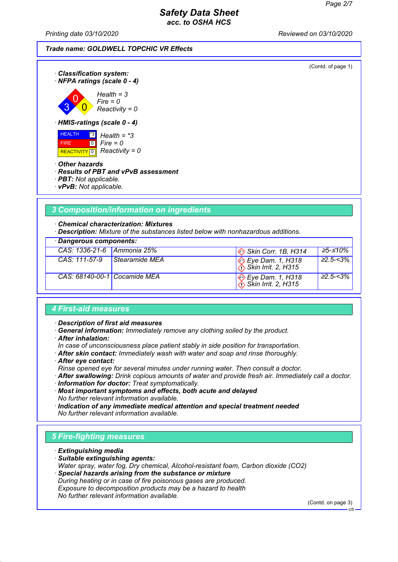*Printing date 03/10/2020 Reviewed on 03/10/2020*

(Contd. of page 1) *· Classification system: · NFPA ratings (scale 0 - 4)* 3 0  $\overline{\mathbf{0}}$ *Health = 3 Fire = 0 Reactivity = 0 · HMIS-ratings (scale 0 - 4)* HEALTH FIRE REACTIVITY 0 *Reactivity = 0* \*3  $\overline{10}$ *Health = \*3 Fire = 0 · Other hazards · Results of PBT and vPvB assessment · PBT: Not applicable. · vPvB: Not applicable.*

# *3 Composition/information on ingredients*

*· Chemical characterization: Mixtures*

*· Description: Mixture of the substances listed below with nonhazardous additions.*

| · Dangerous components:      |                |                                          |                |
|------------------------------|----------------|------------------------------------------|----------------|
| CAS: 1336-21-6 Ammonia 25%   |                | Skin Corr. 1B, H314                      | 25-≤10%        |
| CAS: 111-57-9                | Stearamide MEA | Eye Dam. 1, H318<br>∴Skin Irrit. 2, H315 | $\geq$ 2.5-<3% |
| CAS: 68140-00-1 Cocamide MEA |                | Sye Dam. 1, H318<br>∴Skin Irrit. 2, H315 | $\geq$ 2.5-<3% |

#### *4 First-aid measures*

*· Description of first aid measures*

*· General information: Immediately remove any clothing soiled by the product.*

*· After inhalation:*

*In case of unconsciousness place patient stably in side position for transportation.*

- *· After skin contact: Immediately wash with water and soap and rinse thoroughly.*
- *· After eye contact:*

*Rinse opened eye for several minutes under running water. Then consult a doctor.*

*· After swallowing: Drink copious amounts of water and provide fresh air. Immediately call a doctor.*

*· Information for doctor: Treat symptomatically.*

*· Most important symptoms and effects, both acute and delayed No further relevant information available.*

*· Indication of any immediate medical attention and special treatment needed No further relevant information available.*

### *5 Fire-fighting measures*

- *· Extinguishing media*
- *· Suitable extinguishing agents: Water spray, water fog, Dry chemical, Alcohol-resistant foam, Carbon dioxide (CO2)*
- *· Special hazards arising from the substance or mixture During heating or in case of fire poisonous gases are produced. Exposure to decomposition products may be a hazard to health No further relevant information available.*

(Contd. on page 3)  $H<sub>S</sub>$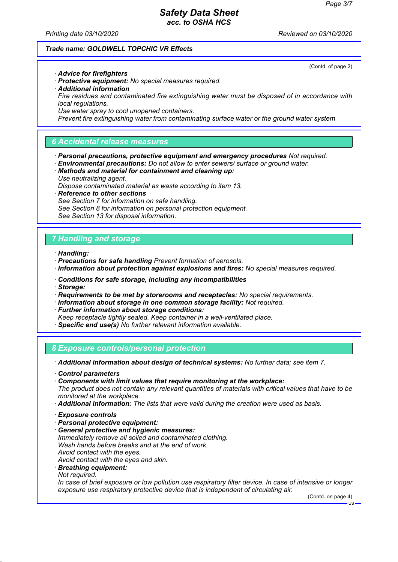(Contd. of page 2)

### *Safety Data Sheet acc. to OSHA HCS*

*Printing date 03/10/2020 Reviewed on 03/10/2020*

#### *Trade name: GOLDWELL TOPCHIC VR Effects*

*· Advice for firefighters*

- *· Protective equipment: No special measures required.*
- *· Additional information*
- *Fire residues and contaminated fire extinguishing water must be disposed of in accordance with local regulations.*
- *Use water spray to cool unopened containers.*

*Prevent fire extinguishing water from contaminating surface water or the ground water system*

### *6 Accidental release measures*

- *· Personal precautions, protective equipment and emergency procedures Not required.*
- *· Environmental precautions: Do not allow to enter sewers/ surface or ground water.*
- *· Methods and material for containment and cleaning up: Use neutralizing agent.*
- *Dispose contaminated material as waste according to item 13.*
- *· Reference to other sections*
- *See Section 7 for information on safe handling.*
- *See Section 8 for information on personal protection equipment.*
- *See Section 13 for disposal information.*

#### *7 Handling and storage*

*· Handling:*

- *· Precautions for safe handling Prevent formation of aerosols.*
- *· Information about protection against explosions and fires: No special measures required.*
- *· Conditions for safe storage, including any incompatibilities*
- *· Storage:*
- *· Requirements to be met by storerooms and receptacles: No special requirements.*
- *· Information about storage in one common storage facility: Not required.*
- *· Further information about storage conditions:*
- *Keep receptacle tightly sealed. Keep container in a well-ventilated place.*
- *· Specific end use(s) No further relevant information available.*

*8 Exposure controls/personal protection*

*· Additional information about design of technical systems: No further data; see item 7.*

- *· Control parameters*
- *· Components with limit values that require monitoring at the workplace:*

*The product does not contain any relevant quantities of materials with critical values that have to be monitored at the workplace.*

- *· Additional information: The lists that were valid during the creation were used as basis.*
- *· Exposure controls*
- *· Personal protective equipment:*
- *· General protective and hygienic measures: Immediately remove all soiled and contaminated clothing. Wash hands before breaks and at the end of work. Avoid contact with the eyes. Avoid contact with the eyes and skin.*
- 
- *· Breathing equipment:*
- *Not required.*

*In case of brief exposure or low pollution use respiratory filter device. In case of intensive or longer exposure use respiratory protective device that is independent of circulating air.*

(Contd. on page 4)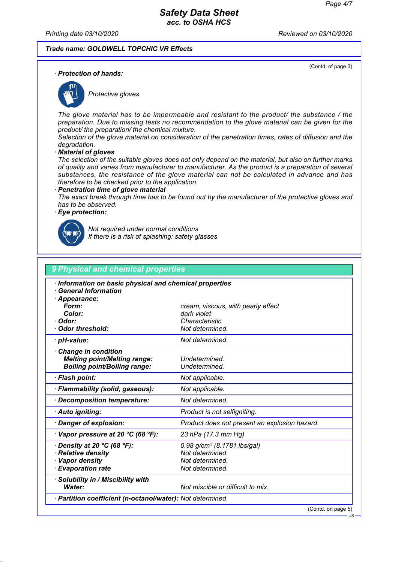(Contd. of page 3)

#### *Safety Data Sheet acc. to OSHA HCS*

*Printing date 03/10/2020 Reviewed on 03/10/2020*

#### *Trade name: GOLDWELL TOPCHIC VR Effects*

*· Protection of hands:*



*Protective gloves*

*The glove material has to be impermeable and resistant to the product/ the substance / the preparation. Due to missing tests no recommendation to the glove material can be given for the product/ the preparation/ the chemical mixture.*

*Selection of the glove material on consideration of the penetration times, rates of diffusion and the degradation.*

*· Material of gloves*

*The selection of the suitable gloves does not only depend on the material, but also on further marks of quality and varies from manufacturer to manufacturer. As the product is a preparation of several substances, the resistance of the glove material can not be calculated in advance and has therefore to be checked prior to the application.*

#### *· Penetration time of glove material*

*The exact break through time has to be found out by the manufacturer of the protective gloves and has to be observed.*

#### *· Eye protection:*



*Not required under normal conditions If there is a risk of splashing: safety glasses*

| 9 Physical and chemical properties                                         |                                                   |  |
|----------------------------------------------------------------------------|---------------------------------------------------|--|
| Information on basic physical and chemical properties                      |                                                   |  |
| <b>General Information</b>                                                 |                                                   |  |
| Appearance:<br>Form:                                                       |                                                   |  |
| Color:                                                                     | cream, viscous, with pearly effect<br>dark violet |  |
| Odor:                                                                      | Characteristic                                    |  |
| <b>Odor threshold:</b>                                                     | Not determined.                                   |  |
| · pH-value:                                                                | Not determined.                                   |  |
|                                                                            |                                                   |  |
| <b>Change in condition</b>                                                 | Undetermined.                                     |  |
| <b>Melting point/Melting range:</b><br><b>Boiling point/Boiling range:</b> | Undetermined.                                     |  |
|                                                                            |                                                   |  |
| · Flash point:                                                             | Not applicable.                                   |  |
| · Flammability (solid, gaseous):                                           | Not applicable.                                   |  |
| Decomposition temperature:                                                 | Not determined.                                   |  |
| · Auto igniting:                                                           | Product is not selfigniting.                      |  |
| Danger of explosion:                                                       | Product does not present an explosion hazard.     |  |
| $\cdot$ Vapor pressure at 20 °C (68 °F):                                   | 23 hPa (17.3 mm Hg)                               |  |
| Density at 20 $°C$ (68 $°F$ ):                                             | $0.98$ g/cm <sup>3</sup> (8.1781 lbs/gal)         |  |
| · Relative density                                                         | Not determined.                                   |  |
| · Vapor density                                                            | Not determined.                                   |  |
| · Evaporation rate                                                         | Not determined.                                   |  |
| Solubility in / Miscibility with                                           |                                                   |  |
| Water:                                                                     | Not miscible or difficult to mix.                 |  |
| · Partition coefficient (n-octanol/water): Not determined.                 |                                                   |  |

(Contd. on page 5)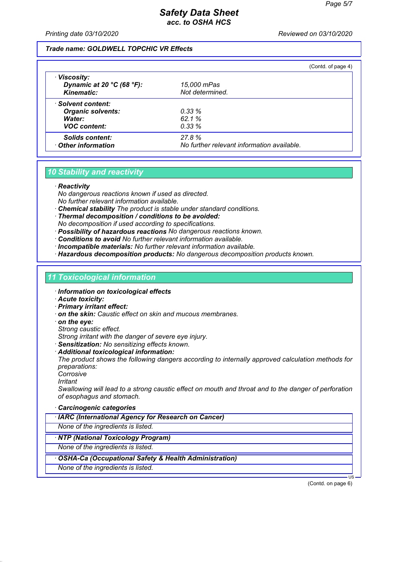*Printing date 03/10/2020 Reviewed on 03/10/2020*

#### *Trade name: GOLDWELL TOPCHIC VR Effects*

|                                                                     |                                            | (Contd. of page 4) |
|---------------------------------------------------------------------|--------------------------------------------|--------------------|
| · Viscosity:<br>Dynamic at 20 $°C$ (68 $°F$ ):<br><b>Kinematic:</b> | 15,000 mPas<br>Not determined.             |                    |
| · Solvent content:                                                  |                                            |                    |
| <b>Organic solvents:</b>                                            | 0.33%                                      |                    |
| Water:                                                              | 62.1%                                      |                    |
| <b>VOC content:</b>                                                 | 0.33%                                      |                    |
| <b>Solids content:</b>                                              | 27.8%                                      |                    |
| Other information                                                   | No further relevant information available. |                    |

### *10 Stability and reactivity*

#### *· Reactivity*

*No dangerous reactions known if used as directed. No further relevant information available.*

- *· Chemical stability The product is stable under standard conditions.*
- *· Thermal decomposition / conditions to be avoided: No decomposition if used according to specifications.*
- *· Possibility of hazardous reactions No dangerous reactions known.*
- *· Conditions to avoid No further relevant information available.*
- *· Incompatible materials: No further relevant information available.*
- *· Hazardous decomposition products: No dangerous decomposition products known.*

#### *11 Toxicological information*

- *· Information on toxicological effects*
- *· Acute toxicity:*
- *· Primary irritant effect:*
- *· on the skin: Caustic effect on skin and mucous membranes.*
- *· on the eye:*
- *Strong caustic effect.*

*Strong irritant with the danger of severe eye injury.*

- *· Sensitization: No sensitizing effects known.*
- *· Additional toxicological information:*

*The product shows the following dangers according to internally approved calculation methods for preparations:*

- *Corrosive*
- *Irritant*

*Swallowing will lead to a strong caustic effect on mouth and throat and to the danger of perforation of esophagus and stomach.*

- *· Carcinogenic categories*
- *· IARC (International Agency for Research on Cancer)*

*None of the ingredients is listed.*

*· NTP (National Toxicology Program)*

*None of the ingredients is listed.*

- *· OSHA-Ca (Occupational Safety & Health Administration)*
- *None of the ingredients is listed.*

(Contd. on page 6)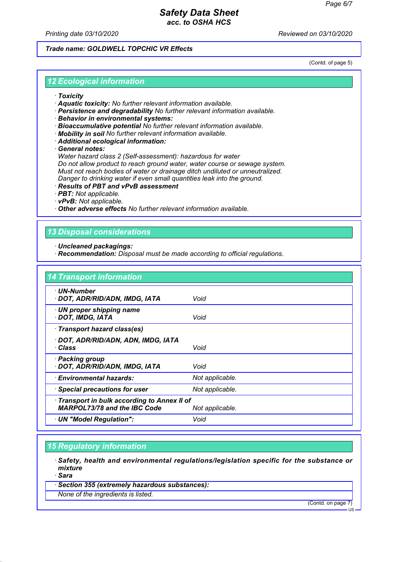*Printing date 03/10/2020 Reviewed on 03/10/2020*

#### *Trade name: GOLDWELL TOPCHIC VR Effects*

(Contd. of page 5)

#### *12 Ecological information*

- *· Toxicity*
- *· Aquatic toxicity: No further relevant information available.*
- *· Persistence and degradability No further relevant information available.*
- *· Behavior in environmental systems:*
- *· Bioaccumulative potential No further relevant information available.*
- *· Mobility in soil No further relevant information available.*
- *· Additional ecological information:*

*· General notes:*

*Water hazard class 2 (Self-assessment): hazardous for water Do not allow product to reach ground water, water course or sewage system. Must not reach bodies of water or drainage ditch undiluted or unneutralized. Danger to drinking water if even small quantities leak into the ground.*

- *· Results of PBT and vPvB assessment*
- *· PBT: Not applicable.*
- *· vPvB: Not applicable.*

*· Other adverse effects No further relevant information available.*

### *13 Disposal considerations*

- *· Uncleaned packagings:*
- *· Recommendation: Disposal must be made according to official regulations.*

| <b>14 Transport information</b>                                                   |                 |
|-----------------------------------------------------------------------------------|-----------------|
| · UN-Number<br>· DOT, ADR/RID/ADN, IMDG, IATA                                     | Void            |
| $\cdot$ UN proper shipping name<br>· DOT, IMDG, IATA                              | Void            |
| · Transport hazard class(es)                                                      |                 |
| · DOT, ADR/RID/ADN, ADN, IMDG, IATA<br>· Class                                    | Void            |
| · Packing group<br>· DOT, ADR/RID/ADN, IMDG, IATA                                 | Void            |
| · Environmental hazards:                                                          | Not applicable. |
| · Special precautions for user                                                    | Not applicable. |
| Transport in bulk according to Annex II of<br><b>MARPOL73/78 and the IBC Code</b> | Not applicable. |
| · UN "Model Regulation":                                                          | Void            |

### *15 Regulatory information*

*· Safety, health and environmental regulations/legislation specific for the substance or mixture*

*· Sara*

*· Section 355 (extremely hazardous substances):*

*None of the ingredients is listed.*

(Contd. on page 7)

US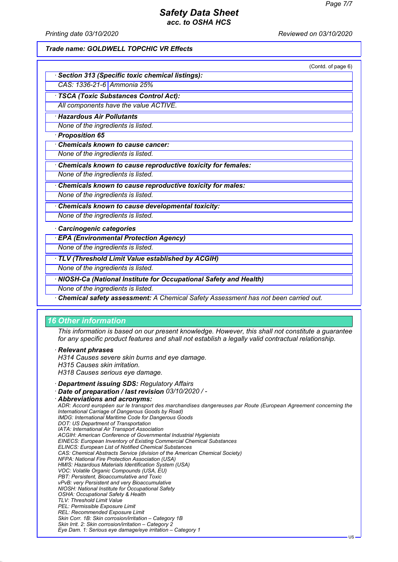*Printing date 03/10/2020 Reviewed on 03/10/2020*

#### *Trade name: GOLDWELL TOPCHIC VR Effects*

|                                                                                    | (Contd. of page 6) |
|------------------------------------------------------------------------------------|--------------------|
| <b>Section 313 (Specific toxic chemical listings):</b>                             |                    |
| CAS: 1336-21-6 Ammonia 25%                                                         |                    |
| <b>TSCA (Toxic Substances Control Act):</b>                                        |                    |
| All components have the value ACTIVE.                                              |                    |
| <b>Hazardous Air Pollutants</b>                                                    |                    |
| None of the ingredients is listed.                                                 |                    |
| · Proposition 65                                                                   |                    |
| <b>Chemicals known to cause cancer:</b>                                            |                    |
| None of the ingredients is listed.                                                 |                    |
| Chemicals known to cause reproductive toxicity for females:                        |                    |
| None of the ingredients is listed.                                                 |                    |
| Chemicals known to cause reproductive toxicity for males:                          |                    |
| None of the ingredients is listed.                                                 |                    |
| Chemicals known to cause developmental toxicity:                                   |                    |
| None of the ingredients is listed.                                                 |                    |
| · Carcinogenic categories                                                          |                    |
| <b>EPA (Environmental Protection Agency)</b>                                       |                    |
| None of the ingredients is listed.                                                 |                    |
| TLV (Threshold Limit Value established by ACGIH)                                   |                    |
| None of the ingredients is listed.                                                 |                    |
| · NIOSH-Ca (National Institute for Occupational Safety and Health)                 |                    |
| None of the ingredients is listed.                                                 |                    |
| Chemical safety assessment: A Chemical Safety Assessment has not been carried out. |                    |

#### *16 Other information*

*This information is based on our present knowledge. However, this shall not constitute a guarantee for any specific product features and shall not establish a legally valid contractual relationship.*

#### *· Relevant phrases*

*H314 Causes severe skin burns and eye damage.*

- *H315 Causes skin irritation.*
- *H318 Causes serious eye damage.*
- *· Department issuing SDS: Regulatory Affairs*
- *· Date of preparation / last revision 03/10/2020 / -*

```
· Abbreviations and acronyms:
 ADR: Accord européen sur le transport des marchandises dangereuses par Route (European Agreement concerning the
 International Carriage of Dangerous Goods by Road)
 IMDG: International Maritime Code for Dangerous Goods
 DOT: US Department of Transportation
 IATA: International Air Transport Association
 ACGIH: American Conference of Governmental Industrial Hygienists
 EINECS: European Inventory of Existing Commercial Chemical Substances
 ELINCS: European List of Notified Chemical Substances
 CAS: Chemical Abstracts Service (division of the American Chemical Society)
 NFPA: National Fire Protection Association (USA)
 HMIS: Hazardous Materials Identification System (USA)
 VOC: Volatile Organic Compounds (USA, EU)
 PBT: Persistent, Bioaccumulative and Toxic
 vPvB: very Persistent and very Bioaccumulative
 NIOSH: National Institute for Occupational Safety
 OSHA: Occupational Safety & Health
 TLV: Threshold Limit Value
 PEL: Permissible Exposure Limit
 REL: Recommended Exposure Limit
 Skin Corr. 1B: Skin corrosion/irritation – Category 1B
 Skin Irrit. 2: Skin corrosion/irritation – Category 2
 Eye Dam. 1: Serious eye damage/eye irritation – Category 1
```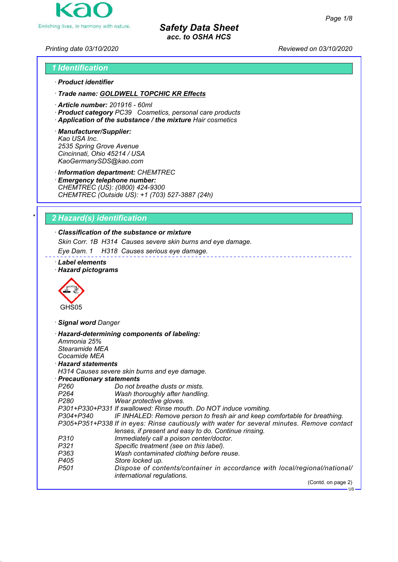US



*Safety Data Sheet acc. to OSHA HCS*

*Printing date 03/10/2020 Reviewed on 03/10/2020*

# *1 Identification · Product identifier*

*· Trade name: GOLDWELL TOPCHIC KR Effects*

- *· Article number: 201916 60ml*
- *· Product category PC39 Cosmetics, personal care products*
- *· Application of the substance / the mixture Hair cosmetics*
- *· Manufacturer/Supplier: Kao USA Inc. 2535 Spring Grove Avenue Cincinnati, Ohio 45214 / USA KaoGermanySDS@kao.com*

*· Information department: CHEMTREC*

*· Emergency telephone number: CHEMTREC (US): (0800) 424-9300 CHEMTREC (Outside US): +1 (703) 527-3887 (24h)*

# *\* 2 Hazard(s) identification*

# *· Classification of the substance or mixture*

*Skin Corr. 1B H314 Causes severe skin burns and eye damage.*

*Eye Dam. 1 H318 Causes serious eye damage.*

*· Label elements · Hazard pictograms*



*· Signal word Danger*

*· Hazard-determining components of labeling: Ammonia 25% Stearamide MEA Cocamide MEA · Hazard statements H314 Causes severe skin burns and eye damage. · Precautionary statements P260 Do not breathe dusts or mists. P264 Wash thoroughly after handling. P280 Wear protective gloves. P301+P330+P331 If swallowed: Rinse mouth. Do NOT induce vomiting. P304+P340 IF INHALED: Remove person to fresh air and keep comfortable for breathing. P305+P351+P338 If in eyes: Rinse cautiously with water for several minutes. Remove contact lenses, if present and easy to do. Continue rinsing. P310 Immediately call a poison center/doctor. P321 Specific treatment (see on this label). P363 Wash contaminated clothing before reuse. P405 Store locked up. P501 Dispose of contents/container in accordance with local/regional/national/ international regulations.* (Contd. on page 2)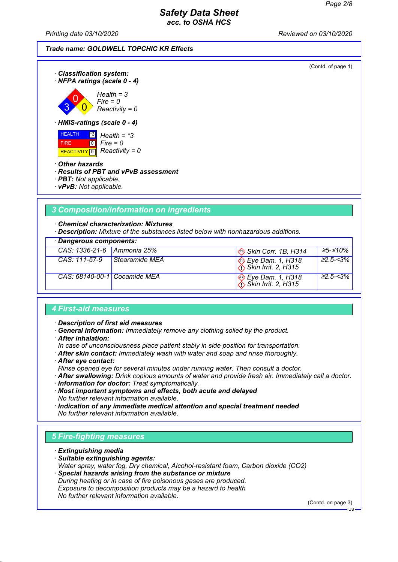*Printing date 03/10/2020 Reviewed on 03/10/2020*

(Contd. of page 1)



*· Classification system:*

*· HMIS-ratings (scale 0 - 4)*



*· Other hazards*

#### *· Results of PBT and vPvB assessment*

- *· PBT: Not applicable.*
- *· vPvB: Not applicable.*

# *3 Composition/information on ingredients*

*· Chemical characterization: Mixtures*

*· Description: Mixture of the substances listed below with nonhazardous additions.*

|  | · Dangerous components: |
|--|-------------------------|
|--|-------------------------|

| CAS: 1336-21-6 Ammonia 25%   |                | $\otimes$ Skin Corr. 1B, H314                                                           | 25-≤10%          |
|------------------------------|----------------|-----------------------------------------------------------------------------------------|------------------|
| CAS: 111-57-9                | Stearamide MEA | $\bigotimes_{\text{A}}$ Eye Dam. 1, H318                                                | $\geq 2.5 - 3\%$ |
| CAS: 68140-00-1 Cocamide MEA |                | $\bigotimes_{i} \text{Eye Dam. 1, H318}$<br>$\bigotimes_{i} \text{Skin Irrit. 2, H315}$ | $\geq$ 2.5-<3%   |

#### *4 First-aid measures*

*· Description of first aid measures*

- *· General information: Immediately remove any clothing soiled by the product.*
- *· After inhalation:*
- *In case of unconsciousness place patient stably in side position for transportation.*
- *· After skin contact: Immediately wash with water and soap and rinse thoroughly.*
- *· After eye contact:*

*Rinse opened eye for several minutes under running water. Then consult a doctor.*

- *· After swallowing: Drink copious amounts of water and provide fresh air. Immediately call a doctor.*
- *· Information for doctor: Treat symptomatically.*

*· Most important symptoms and effects, both acute and delayed No further relevant information available.*

*· Indication of any immediate medical attention and special treatment needed No further relevant information available.*

# *5 Fire-fighting measures*

- *· Extinguishing media*
- *· Suitable extinguishing agents:*
- *Water spray, water fog, Dry chemical, Alcohol-resistant foam, Carbon dioxide (CO2) · Special hazards arising from the substance or mixture During heating or in case of fire poisonous gases are produced.*
- *Exposure to decomposition products may be a hazard to health No further relevant information available.*

(Contd. on page 3)

 $H<sub>S</sub>$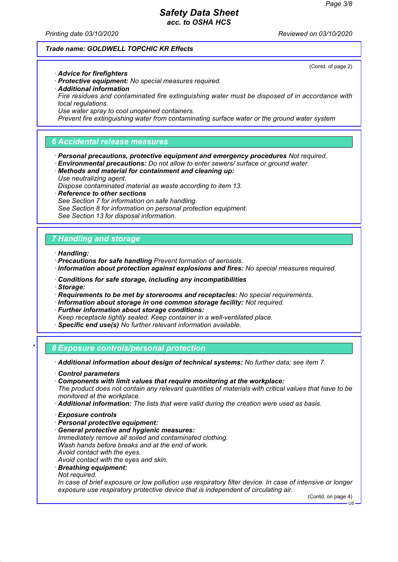(Contd. of page 2)

### *Safety Data Sheet acc. to OSHA HCS*

*Printing date 03/10/2020 Reviewed on 03/10/2020*

#### *Trade name: GOLDWELL TOPCHIC KR Effects*

*· Advice for firefighters*

- *· Protective equipment: No special measures required.*
- *· Additional information*
- *Fire residues and contaminated fire extinguishing water must be disposed of in accordance with local regulations.*
- *Use water spray to cool unopened containers.*

*Prevent fire extinguishing water from contaminating surface water or the ground water system*

### *6 Accidental release measures*

- *· Personal precautions, protective equipment and emergency procedures Not required.*
- *· Environmental precautions: Do not allow to enter sewers/ surface or ground water.*
- *· Methods and material for containment and cleaning up: Use neutralizing agent.*
- *Dispose contaminated material as waste according to item 13.*
- *· Reference to other sections*
	- *See Section 7 for information on safe handling.*
- *See Section 8 for information on personal protection equipment.*
- *See Section 13 for disposal information.*

#### *7 Handling and storage*

*· Handling:*

- *· Precautions for safe handling Prevent formation of aerosols.*
- *· Information about protection against explosions and fires: No special measures required.*
- *· Conditions for safe storage, including any incompatibilities*
- *· Storage:*
- *· Requirements to be met by storerooms and receptacles: No special requirements.*
- *· Information about storage in one common storage facility: Not required.*
- *· Further information about storage conditions:*
- *Keep receptacle tightly sealed. Keep container in a well-ventilated place.*
- *· Specific end use(s) No further relevant information available.*
- *\* 8 Exposure controls/personal protection*

*· Additional information about design of technical systems: No further data; see item 7.*

- *· Control parameters*
- *· Components with limit values that require monitoring at the workplace:*

*The product does not contain any relevant quantities of materials with critical values that have to be monitored at the workplace.*

- *· Additional information: The lists that were valid during the creation were used as basis.*
- *· Exposure controls*
- *· Personal protective equipment:*
- *· General protective and hygienic measures: Immediately remove all soiled and contaminated clothing. Wash hands before breaks and at the end of work. Avoid contact with the eyes. Avoid contact with the eyes and skin.*
- 
- *· Breathing equipment:*
- *Not required.*

*In case of brief exposure or low pollution use respiratory filter device. In case of intensive or longer exposure use respiratory protective device that is independent of circulating air.*

(Contd. on page 4)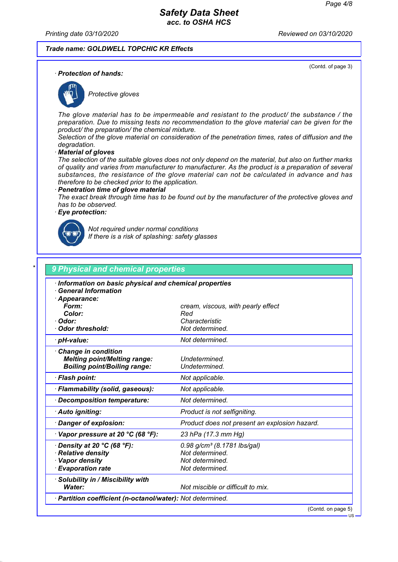(Contd. of page 3)

#### *Safety Data Sheet acc. to OSHA HCS*

*Printing date 03/10/2020 Reviewed on 03/10/2020*

#### *Trade name: GOLDWELL TOPCHIC KR Effects*

*· Protection of hands:*



*Protective gloves*

*The glove material has to be impermeable and resistant to the product/ the substance / the preparation. Due to missing tests no recommendation to the glove material can be given for the product/ the preparation/ the chemical mixture.*

*Selection of the glove material on consideration of the penetration times, rates of diffusion and the degradation.*

*· Material of gloves*

*The selection of the suitable gloves does not only depend on the material, but also on further marks of quality and varies from manufacturer to manufacturer. As the product is a preparation of several substances, the resistance of the glove material can not be calculated in advance and has therefore to be checked prior to the application.*

#### *· Penetration time of glove material*

*The exact break through time has to be found out by the manufacturer of the protective gloves and has to be observed.*

#### *· Eye protection:*



*Not required under normal conditions If there is a risk of splashing: safety glasses*

| Information on basic physical and chemical properties |                                               |
|-------------------------------------------------------|-----------------------------------------------|
| <b>General Information</b>                            |                                               |
| · Appearance:<br>Form:                                |                                               |
| Color:                                                | cream, viscous, with pearly effect<br>Red     |
| · Odor:                                               | Characteristic                                |
| <b>Odor threshold:</b>                                | Not determined.                               |
| · pH-value:                                           | Not determined.                               |
| <b>Change in condition</b>                            |                                               |
| <b>Melting point/Melting range:</b>                   | Undetermined.                                 |
| <b>Boiling point/Boiling range:</b>                   | Undetermined.                                 |
| · Flash point:                                        | Not applicable.                               |
| · Flammability (solid, gaseous):                      | Not applicable.                               |
| Decomposition temperature:                            | Not determined.                               |
| · Auto igniting:                                      | Product is not selfigniting.                  |
| Danger of explosion:                                  | Product does not present an explosion hazard. |
| $\cdot$ Vapor pressure at 20 °C (68 °F):              | 23 hPa (17.3 mm Hg)                           |
| $\cdot$ Density at 20 °C (68 °F):                     | $0.98$ g/cm <sup>3</sup> (8.1781 lbs/gal)     |
| · Relative density                                    | Not determined.                               |
| · Vapor density                                       | Not determined.                               |
| <b>Evaporation rate</b>                               | Not determined.                               |
| · Solubility in / Miscibility with                    |                                               |
| Water:                                                | Not miscible or difficult to mix.             |

(Contd. on page 5)

US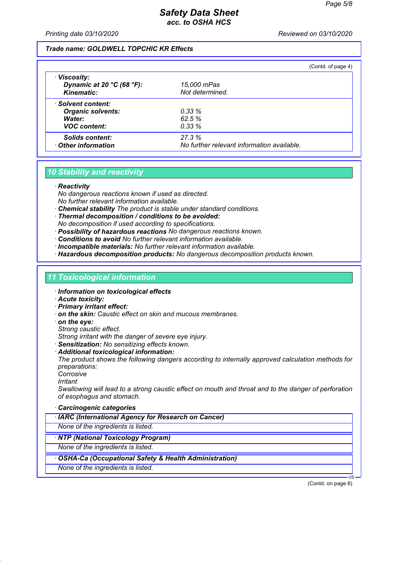*Printing date 03/10/2020 Reviewed on 03/10/2020*

#### *Trade name: GOLDWELL TOPCHIC KR Effects*

|                                                                     |                                            | (Contd. of page 4) |
|---------------------------------------------------------------------|--------------------------------------------|--------------------|
| · Viscosity:<br>Dynamic at 20 $°C$ (68 $°F$ ):<br><b>Kinematic:</b> | 15,000 mPas<br>Not determined.             |                    |
| · Solvent content:                                                  |                                            |                    |
| <b>Organic solvents:</b>                                            | 0.33%                                      |                    |
| Water:                                                              | 62.5%                                      |                    |
| <b>VOC content:</b>                                                 | $0.33\%$                                   |                    |
| <b>Solids content:</b>                                              | 27.3%                                      |                    |
| Other information                                                   | No further relevant information available. |                    |

### *10 Stability and reactivity*

#### *· Reactivity*

*No dangerous reactions known if used as directed. No further relevant information available.*

- *· Chemical stability The product is stable under standard conditions.*
- *· Thermal decomposition / conditions to be avoided: No decomposition if used according to specifications.*
- *· Possibility of hazardous reactions No dangerous reactions known.*
- *· Conditions to avoid No further relevant information available.*
- *· Incompatible materials: No further relevant information available.*
- *· Hazardous decomposition products: No dangerous decomposition products known.*

#### *11 Toxicological information*

- *· Information on toxicological effects*
- *· Acute toxicity:*
- *· Primary irritant effect:*
- *· on the skin: Caustic effect on skin and mucous membranes.*
- *· on the eye:*
- *Strong caustic effect.*

*Strong irritant with the danger of severe eye injury.*

- *· Sensitization: No sensitizing effects known.*
- *· Additional toxicological information:*

*The product shows the following dangers according to internally approved calculation methods for preparations:*

- *Corrosive*
- *Irritant*

*Swallowing will lead to a strong caustic effect on mouth and throat and to the danger of perforation of esophagus and stomach.*

- *· Carcinogenic categories*
- *· IARC (International Agency for Research on Cancer)*

*None of the ingredients is listed.*

*· NTP (National Toxicology Program)*

*None of the ingredients is listed.*

- *· OSHA-Ca (Occupational Safety & Health Administration)*
- *None of the ingredients is listed.*

(Contd. on page 6)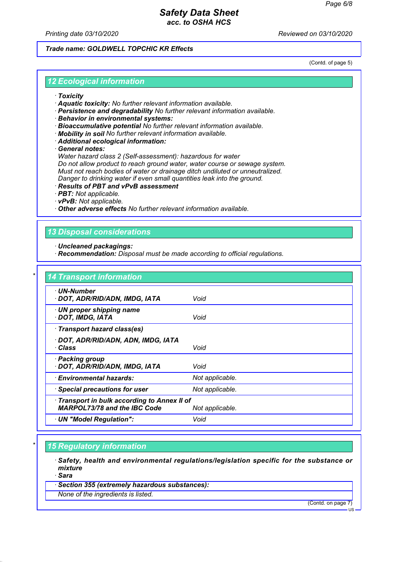*Printing date 03/10/2020 Reviewed on 03/10/2020*

#### *Trade name: GOLDWELL TOPCHIC KR Effects*

(Contd. of page 5)

#### *12 Ecological information*

- *· Toxicity*
- *· Aquatic toxicity: No further relevant information available.*
- *· Persistence and degradability No further relevant information available.*
- *· Behavior in environmental systems:*
- *· Bioaccumulative potential No further relevant information available.*
- *· Mobility in soil No further relevant information available.*
- *· Additional ecological information:*

*· General notes:*

*Water hazard class 2 (Self-assessment): hazardous for water Do not allow product to reach ground water, water course or sewage system. Must not reach bodies of water or drainage ditch undiluted or unneutralized. Danger to drinking water if even small quantities leak into the ground.*

- *· Results of PBT and vPvB assessment*
- *· PBT: Not applicable.*
- *· vPvB: Not applicable.*

*· Other adverse effects No further relevant information available.*

### *13 Disposal considerations*

- *· Uncleaned packagings:*
- *· Recommendation: Disposal must be made according to official regulations.*

| · UN-Number                                  |                 |
|----------------------------------------------|-----------------|
| · DOT, ADR/RID/ADN, IMDG, IATA               | Void            |
| · UN proper shipping name                    |                 |
| · DOT, IMDG, IATA                            | Void            |
| · Transport hazard class(es)                 |                 |
| · DOT, ADR/RID/ADN, ADN, IMDG, IATA          |                 |
| · Class                                      | Void            |
| · Packing group                              |                 |
| · DOT, ADR/RID/ADN, IMDG, IATA               | Void            |
| · Environmental hazards:                     | Not applicable. |
| · Special precautions for user               | Not applicable. |
| · Transport in bulk according to Annex II of |                 |
| <b>MARPOL73/78 and the IBC Code</b>          | Not applicable. |

### *\* 15 Regulatory information*

*· Safety, health and environmental regulations/legislation specific for the substance or mixture*

*· Sara*

*· Section 355 (extremely hazardous substances):*

*None of the ingredients is listed.*

(Contd. on page 7)

US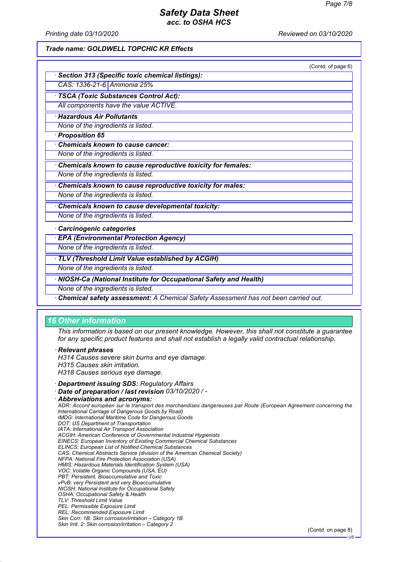*Printing date 03/10/2020 Reviewed on 03/10/2020*

#### *Trade name: GOLDWELL TOPCHIC KR Effects*

|                                                                  | (Contd. of page 6) |
|------------------------------------------------------------------|--------------------|
| <b>Section 313 (Specific toxic chemical listings):</b>           |                    |
| CAS: 1336-21-6 Ammonia 25%                                       |                    |
| · TSCA (Toxic Substances Control Act):                           |                    |
| All components have the value ACTIVE.                            |                    |
| <b>Hazardous Air Pollutants</b>                                  |                    |
| None of the ingredients is listed.                               |                    |
| · Proposition 65                                                 |                    |
| <b>Chemicals known to cause cancer:</b>                          |                    |
| None of the ingredients is listed.                               |                    |
| Chemicals known to cause reproductive toxicity for females:      |                    |
| None of the ingredients is listed.                               |                    |
| Chemicals known to cause reproductive toxicity for males:        |                    |
| None of the ingredients is listed.                               |                    |
| Chemicals known to cause developmental toxicity:                 |                    |
| None of the ingredients is listed.                               |                    |
| Carcinogenic categories                                          |                    |
| <b>EPA (Environmental Protection Agency)</b>                     |                    |
| None of the ingredients is listed.                               |                    |
| · TLV (Threshold Limit Value established by ACGIH)               |                    |
| None of the ingredients is listed.                               |                    |
| NIOSH-Ca (National Institute for Occupational Safety and Health) |                    |
| None of the ingredients is listed.                               |                    |

*· Chemical safety assessment: A Chemical Safety Assessment has not been carried out.*

# *16 Other information*

*This information is based on our present knowledge. However, this shall not constitute a guarantee for any specific product features and shall not establish a legally valid contractual relationship.*

*· Relevant phrases*

*H314 Causes severe skin burns and eye damage.*

*H315 Causes skin irritation.*

*H318 Causes serious eye damage.*

*· Department issuing SDS: Regulatory Affairs*

*· Date of preparation / last revision 03/10/2020 / -*

*· Abbreviations and acronyms: ADR: Accord européen sur le transport des marchandises dangereuses par Route (European Agreement concerning the International Carriage of Dangerous Goods by Road) IMDG: International Maritime Code for Dangerous Goods DOT: US Department of Transportation IATA: International Air Transport Association ACGIH: American Conference of Governmental Industrial Hygienists EINECS: European Inventory of Existing Commercial Chemical Substances ELINCS: European List of Notified Chemical Substances CAS: Chemical Abstracts Service (division of the American Chemical Society) NFPA: National Fire Protection Association (USA) HMIS: Hazardous Materials Identification System (USA) VOC: Volatile Organic Compounds (USA, EU) PBT: Persistent, Bioaccumulative and Toxic vPvB: very Persistent and very Bioaccumulative NIOSH: National Institute for Occupational Safety OSHA: Occupational Safety & Health TLV: Threshold Limit Value PEL: Permissible Exposure Limit REL: Recommended Exposure Limit Skin Corr. 1B: Skin corrosion/irritation – Category 1B Skin Irrit. 2: Skin corrosion/irritation – Category 2* (Contd. on page 8)